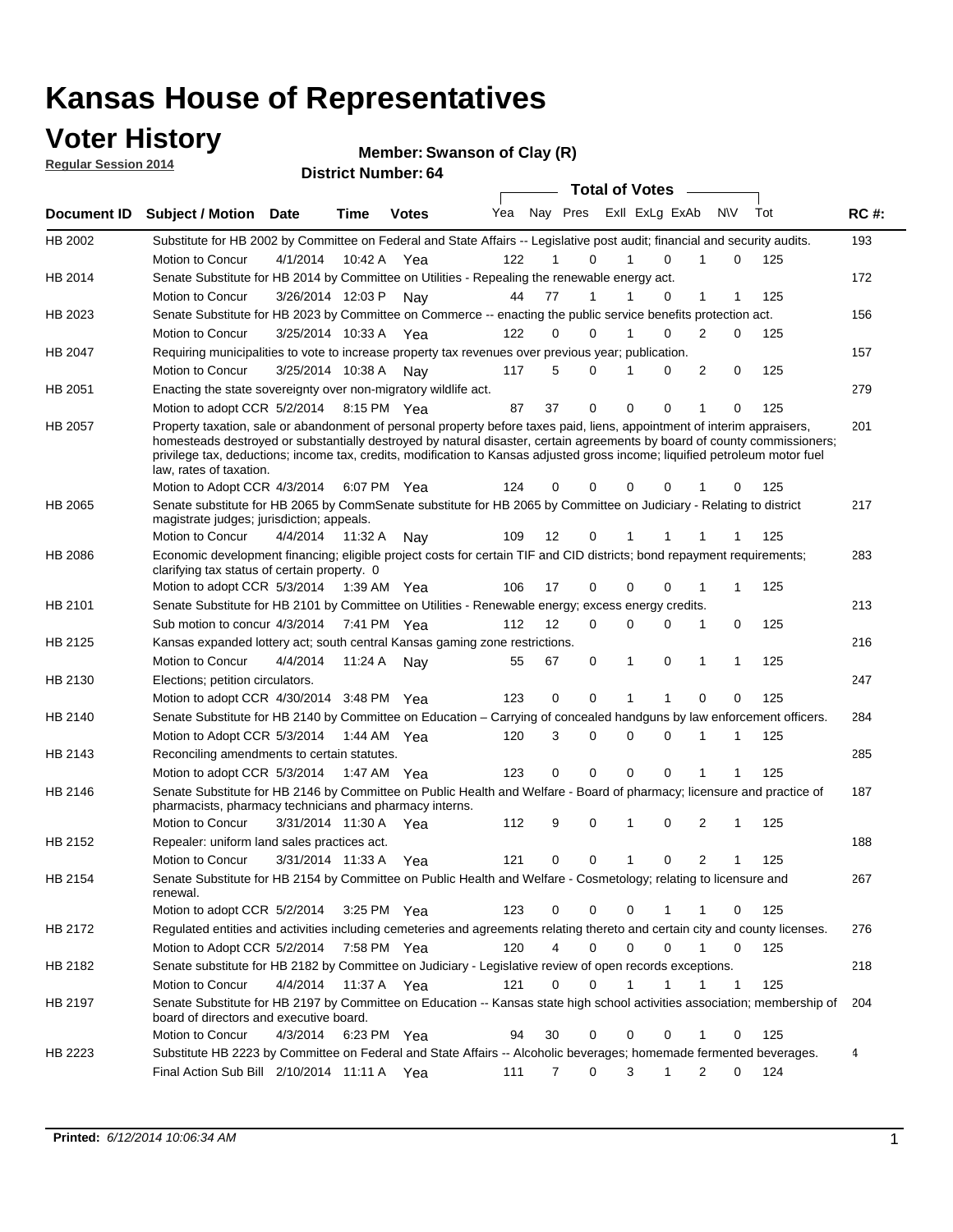### **Voter History**

**Regular Session 2014**

**Member: Swanson of Clay (R)** 

|                |                                                                                                                                                                                                                                                                                                                                                                                                                  |                      |             |              |     |          |   | <b>Total of Votes</b> |              |                |          |     |             |
|----------------|------------------------------------------------------------------------------------------------------------------------------------------------------------------------------------------------------------------------------------------------------------------------------------------------------------------------------------------------------------------------------------------------------------------|----------------------|-------------|--------------|-----|----------|---|-----------------------|--------------|----------------|----------|-----|-------------|
|                | Document ID Subject / Motion Date                                                                                                                                                                                                                                                                                                                                                                                |                      | Time        | <b>Votes</b> | Yea | Nay Pres |   | Exll ExLg ExAb        |              | N\V            |          | Tot | <b>RC#:</b> |
| HB 2002        | Substitute for HB 2002 by Committee on Federal and State Affairs -- Legislative post audit; financial and security audits.                                                                                                                                                                                                                                                                                       |                      |             |              |     |          |   |                       |              |                |          |     | 193         |
|                | Motion to Concur                                                                                                                                                                                                                                                                                                                                                                                                 | 4/1/2014             | 10:42 A     | Yea          | 122 | 1        | 0 | 1                     | $\Omega$     | 1              | 0        | 125 |             |
| HB 2014        | Senate Substitute for HB 2014 by Committee on Utilities - Repealing the renewable energy act.                                                                                                                                                                                                                                                                                                                    |                      |             |              |     |          |   |                       |              |                |          |     | 172         |
|                | Motion to Concur                                                                                                                                                                                                                                                                                                                                                                                                 | 3/26/2014 12:03 P    |             | Nav          | 44  | 77       | 1 | 1                     | 0            | 1              | 1        | 125 |             |
| HB 2023        | Senate Substitute for HB 2023 by Committee on Commerce -- enacting the public service benefits protection act.                                                                                                                                                                                                                                                                                                   |                      |             |              |     |          |   |                       |              |                |          |     | 156         |
|                | Motion to Concur                                                                                                                                                                                                                                                                                                                                                                                                 | 3/25/2014 10:33 A    |             | Yea          | 122 | 0        | 0 | 1                     | $\Omega$     | $\overline{2}$ | 0        | 125 |             |
| HB 2047        | Requiring municipalities to vote to increase property tax revenues over previous year; publication.                                                                                                                                                                                                                                                                                                              |                      |             |              |     |          |   |                       |              |                |          |     | 157         |
|                | Motion to Concur                                                                                                                                                                                                                                                                                                                                                                                                 | 3/25/2014 10:38 A    |             | Nav          | 117 | 5        | 0 | 1                     | 0            | 2              | 0        | 125 |             |
| HB 2051        | Enacting the state sovereignty over non-migratory wildlife act.                                                                                                                                                                                                                                                                                                                                                  |                      |             |              |     |          |   |                       |              |                |          |     | 279         |
|                | Motion to adopt CCR 5/2/2014                                                                                                                                                                                                                                                                                                                                                                                     |                      | 8:15 PM Yea |              | 87  | 37       | 0 | $\mathbf 0$           | 0            | 1              | 0        | 125 |             |
| <b>HB 2057</b> | Property taxation, sale or abandonment of personal property before taxes paid, liens, appointment of interim appraisers,<br>homesteads destroyed or substantially destroyed by natural disaster, certain agreements by board of county commissioners;<br>privilege tax, deductions; income tax, credits, modification to Kansas adjusted gross income; liquified petroleum motor fuel<br>law, rates of taxation. |                      |             |              |     |          |   |                       |              |                |          |     | 201         |
|                | Motion to Adopt CCR 4/3/2014                                                                                                                                                                                                                                                                                                                                                                                     |                      |             | 6:07 PM Yea  | 124 | 0        | 0 | 0                     | 0            |                | 0        | 125 |             |
| HB 2065        | Senate substitute for HB 2065 by CommSenate substitute for HB 2065 by Committee on Judiciary - Relating to district<br>magistrate judges; jurisdiction; appeals.                                                                                                                                                                                                                                                 |                      |             |              |     |          |   |                       |              |                |          |     | 217         |
|                | Motion to Concur                                                                                                                                                                                                                                                                                                                                                                                                 | 4/4/2014 11:32 A     |             | Nav          | 109 | 12       | 0 | 1                     |              |                | 1        | 125 |             |
| <b>HB 2086</b> | Economic development financing; eligible project costs for certain TIF and CID districts; bond repayment requirements;<br>clarifying tax status of certain property. 0                                                                                                                                                                                                                                           |                      |             |              |     |          |   |                       |              |                |          |     | 283         |
|                | Motion to adopt CCR 5/3/2014 1:39 AM Yea                                                                                                                                                                                                                                                                                                                                                                         |                      |             |              | 106 | 17       | 0 | 0                     | 0            | 1              | 1        | 125 |             |
| HB 2101        | Senate Substitute for HB 2101 by Committee on Utilities - Renewable energy; excess energy credits.                                                                                                                                                                                                                                                                                                               |                      |             |              |     |          |   |                       |              |                |          |     | 213         |
|                | Sub motion to concur 4/3/2014 7:41 PM Yea                                                                                                                                                                                                                                                                                                                                                                        |                      |             |              | 112 | 12       | 0 | 0                     | 0            | 1              | 0        | 125 |             |
| HB 2125        | Kansas expanded lottery act; south central Kansas gaming zone restrictions.                                                                                                                                                                                                                                                                                                                                      |                      |             |              |     |          |   |                       |              |                |          |     | 216         |
|                | Motion to Concur                                                                                                                                                                                                                                                                                                                                                                                                 | 4/4/2014             | 11:24 A     | Nav          | 55  | 67       | 0 | $\mathbf{1}$          | 0            | 1              | 1        | 125 |             |
| HB 2130        | Elections; petition circulators.                                                                                                                                                                                                                                                                                                                                                                                 |                      |             |              |     |          |   |                       |              |                |          |     | 247         |
|                | Motion to adopt CCR 4/30/2014 3:48 PM Yea                                                                                                                                                                                                                                                                                                                                                                        |                      |             |              | 123 | 0        | 0 | 1                     | 1            | 0              | 0        | 125 |             |
| HB 2140        | Senate Substitute for HB 2140 by Committee on Education – Carrying of concealed handguns by law enforcement officers.                                                                                                                                                                                                                                                                                            |                      |             |              |     |          |   |                       |              |                |          |     | 284         |
|                | Motion to Adopt CCR 5/3/2014 1:44 AM Yea                                                                                                                                                                                                                                                                                                                                                                         |                      |             |              | 120 | 3        | 0 | 0                     | $\Omega$     | 1              | 1        | 125 |             |
| HB 2143        | Reconciling amendments to certain statutes.                                                                                                                                                                                                                                                                                                                                                                      |                      |             |              |     |          |   |                       |              |                |          |     | 285         |
|                | Motion to adopt CCR 5/3/2014 1:47 AM Yea                                                                                                                                                                                                                                                                                                                                                                         |                      |             |              | 123 | 0        | 0 | $\mathbf 0$           | $\mathbf 0$  | 1              | 1        | 125 |             |
| HB 2146        | Senate Substitute for HB 2146 by Committee on Public Health and Welfare - Board of pharmacy; licensure and practice of<br>pharmacists, pharmacy technicians and pharmacy interns.                                                                                                                                                                                                                                |                      |             |              |     |          |   |                       |              |                |          |     | 187         |
|                | Motion to Concur                                                                                                                                                                                                                                                                                                                                                                                                 | 3/31/2014 11:30 A    |             | Yea          | 112 | 9        | 0 | 1                     | 0            | 2              | 1        | 125 |             |
| HB 2152        | Repealer: uniform land sales practices act.                                                                                                                                                                                                                                                                                                                                                                      |                      |             |              |     |          |   |                       |              |                |          |     | 188         |
|                | Motion to Concur                                                                                                                                                                                                                                                                                                                                                                                                 | 3/31/2014 11:33 A    |             | Yea          | 121 | 0        | 0 | $\mathbf{1}$          | 0            | 2              | 1        | 125 |             |
| HB 2154        | Senate Substitute for HB 2154 by Committee on Public Health and Welfare - Cosmetology; relating to licensure and<br>renewal.                                                                                                                                                                                                                                                                                     |                      |             |              |     |          |   |                       |              |                |          |     | 267         |
|                | Motion to adopt CCR 5/2/2014 3:25 PM Yea                                                                                                                                                                                                                                                                                                                                                                         |                      |             |              | 123 | 0        | 0 | 0                     | 1            | 1              | 0        | 125 |             |
| HB 2172        | Regulated entities and activities including cemeteries and agreements relating thereto and certain city and county licenses.                                                                                                                                                                                                                                                                                     |                      |             |              |     |          |   |                       |              |                |          |     | 276         |
|                | Motion to Adopt CCR 5/2/2014                                                                                                                                                                                                                                                                                                                                                                                     |                      |             | 7:58 PM Yea  | 120 | 4        | 0 | 0                     | $\Omega$     |                | $\Omega$ | 125 |             |
| HB 2182        | Senate substitute for HB 2182 by Committee on Judiciary - Legislative review of open records exceptions.                                                                                                                                                                                                                                                                                                         |                      |             |              |     |          |   |                       |              |                |          |     | 218         |
|                | Motion to Concur                                                                                                                                                                                                                                                                                                                                                                                                 | 4/4/2014 11:37 A Yea |             |              | 121 | $\Omega$ | 0 | 1                     | $\mathbf{1}$ |                | 1        | 125 |             |
| HB 2197        | Senate Substitute for HB 2197 by Committee on Education -- Kansas state high school activities association; membership of<br>board of directors and executive board.                                                                                                                                                                                                                                             |                      |             |              |     |          |   |                       |              |                |          |     | 204         |
|                | Motion to Concur                                                                                                                                                                                                                                                                                                                                                                                                 | 4/3/2014             |             | 6:23 PM Yea  | 94  | 30       | 0 | 0                     | 0            | 1              | 0        | 125 |             |
| HB 2223        | Substitute HB 2223 by Committee on Federal and State Affairs -- Alcoholic beverages; homemade fermented beverages.                                                                                                                                                                                                                                                                                               |                      |             |              |     |          |   |                       |              |                |          |     | 4           |
|                | Final Action Sub Bill 2/10/2014 11:11 A Yea                                                                                                                                                                                                                                                                                                                                                                      |                      |             |              | 111 | 7        | 0 | 3                     | $\mathbf{1}$ | 2              | 0        | 124 |             |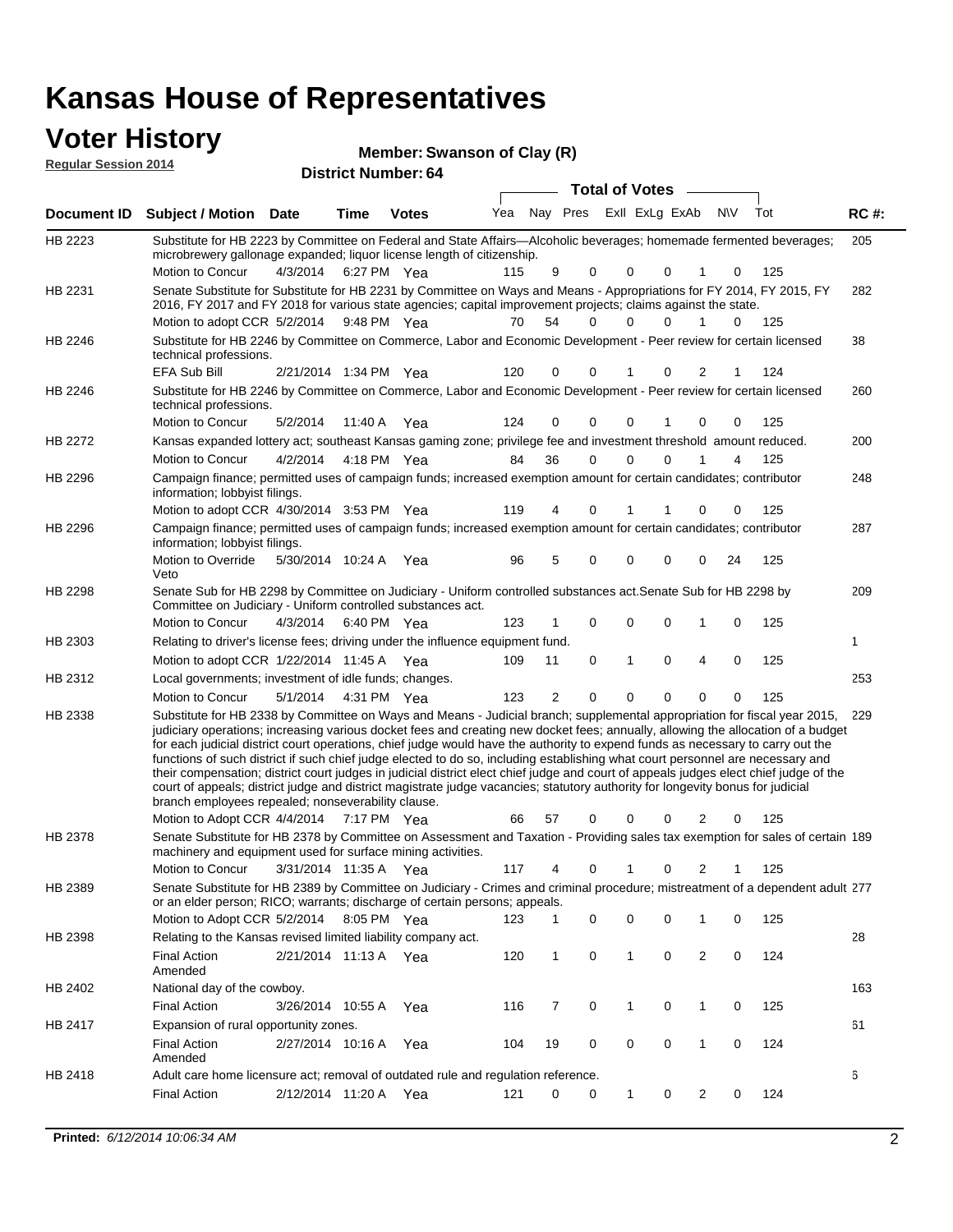#### **Voter History Member**

| <b>VULGE LIBLUTY</b><br><b>Regular Session 2014</b> |                                   | <b>District Number: 64</b> | Member: Swanson of Clay (R) |  |                                 |  |     |             |
|-----------------------------------------------------|-----------------------------------|----------------------------|-----------------------------|--|---------------------------------|--|-----|-------------|
|                                                     |                                   |                            |                             |  | <b>Total of Votes</b>           |  |     |             |
|                                                     | Document ID Subject / Motion Date | Time                       | <b>Votes</b>                |  | Yea Nay Pres ExII ExLg ExAb N\V |  | Tot | <b>RC#:</b> |

| HB 2223        | Substitute for HB 2223 by Committee on Federal and State Affairs—Alcoholic beverages; homemade fermented beverages;<br>microbrewery gallonage expanded; liquor license length of citizenship.                                                                                                                                                                                                                                                                                                                                                                                                                                                                                                                                                                                                                                                                       | 205 |
|----------------|---------------------------------------------------------------------------------------------------------------------------------------------------------------------------------------------------------------------------------------------------------------------------------------------------------------------------------------------------------------------------------------------------------------------------------------------------------------------------------------------------------------------------------------------------------------------------------------------------------------------------------------------------------------------------------------------------------------------------------------------------------------------------------------------------------------------------------------------------------------------|-----|
|                | Motion to Concur<br>125<br>4/3/2014 6:27 PM Yea<br>115<br>9<br>0<br>0<br>0<br>0<br>1                                                                                                                                                                                                                                                                                                                                                                                                                                                                                                                                                                                                                                                                                                                                                                                |     |
| HB 2231        | Senate Substitute for Substitute for HB 2231 by Committee on Ways and Means - Appropriations for FY 2014, FY 2015, FY<br>2016, FY 2017 and FY 2018 for various state agencies; capital improvement projects; claims against the state.                                                                                                                                                                                                                                                                                                                                                                                                                                                                                                                                                                                                                              | 282 |
|                | Motion to adopt CCR 5/2/2014 9:48 PM Yea<br>54<br>70<br>$\Omega$<br>$\Omega$<br>$\Omega$<br>1<br>0<br>125                                                                                                                                                                                                                                                                                                                                                                                                                                                                                                                                                                                                                                                                                                                                                           |     |
| HB 2246        | Substitute for HB 2246 by Committee on Commerce, Labor and Economic Development - Peer review for certain licensed<br>technical professions.                                                                                                                                                                                                                                                                                                                                                                                                                                                                                                                                                                                                                                                                                                                        | 38  |
|                | EFA Sub Bill<br>120<br>2/21/2014 1:34 PM Yea<br>0<br>0<br>0<br>2<br>124                                                                                                                                                                                                                                                                                                                                                                                                                                                                                                                                                                                                                                                                                                                                                                                             |     |
| HB 2246        | Substitute for HB 2246 by Committee on Commerce, Labor and Economic Development - Peer review for certain licensed<br>technical professions.                                                                                                                                                                                                                                                                                                                                                                                                                                                                                                                                                                                                                                                                                                                        | 260 |
|                | Motion to Concur<br>5/2/2014<br>0<br>0<br>125<br>11:40 A Yea<br>124<br>0<br>0<br>0<br>1.                                                                                                                                                                                                                                                                                                                                                                                                                                                                                                                                                                                                                                                                                                                                                                            |     |
| <b>HB 2272</b> | Kansas expanded lottery act; southeast Kansas gaming zone; privilege fee and investment threshold amount reduced.                                                                                                                                                                                                                                                                                                                                                                                                                                                                                                                                                                                                                                                                                                                                                   | 200 |
|                | 36<br>$\mathbf 0$<br>$\mathbf 0$<br><b>Motion to Concur</b><br>4/2/2014<br>4:18 PM Yea<br>84<br>0<br>1<br>125<br>4                                                                                                                                                                                                                                                                                                                                                                                                                                                                                                                                                                                                                                                                                                                                                  |     |
| HB 2296        | Campaign finance; permitted uses of campaign funds; increased exemption amount for certain candidates; contributor<br>information; lobbyist filings.                                                                                                                                                                                                                                                                                                                                                                                                                                                                                                                                                                                                                                                                                                                | 248 |
|                | Motion to adopt CCR 4/30/2014 3:53 PM Yea<br>125<br>119<br>0<br>0<br>4<br>0<br>1                                                                                                                                                                                                                                                                                                                                                                                                                                                                                                                                                                                                                                                                                                                                                                                    |     |
| HB 2296        | Campaign finance; permitted uses of campaign funds; increased exemption amount for certain candidates; contributor<br>information; lobbyist filings.                                                                                                                                                                                                                                                                                                                                                                                                                                                                                                                                                                                                                                                                                                                | 287 |
|                | Motion to Override<br>5/30/2014 10:24 A Yea<br>96<br>5<br>0<br>125<br>0<br>0<br>0<br>24<br>Veto                                                                                                                                                                                                                                                                                                                                                                                                                                                                                                                                                                                                                                                                                                                                                                     |     |
| HB 2298        | Senate Sub for HB 2298 by Committee on Judiciary - Uniform controlled substances act. Senate Sub for HB 2298 by<br>Committee on Judiciary - Uniform controlled substances act.<br>Motion to Concur<br>0<br>0<br>0<br>125<br>4/3/2014<br>6:40 PM Yea<br>123<br>1<br>0                                                                                                                                                                                                                                                                                                                                                                                                                                                                                                                                                                                                | 209 |
| HB 2303        | Relating to driver's license fees; driving under the influence equipment fund.                                                                                                                                                                                                                                                                                                                                                                                                                                                                                                                                                                                                                                                                                                                                                                                      | 1   |
|                | 4<br>0<br>1<br>0<br>$\mathbf 0$<br>125<br>Motion to adopt CCR $1/22/2014$ 11:45 A Yea<br>109<br>11                                                                                                                                                                                                                                                                                                                                                                                                                                                                                                                                                                                                                                                                                                                                                                  |     |
| HB 2312        | Local governments; investment of idle funds; changes.                                                                                                                                                                                                                                                                                                                                                                                                                                                                                                                                                                                                                                                                                                                                                                                                               | 253 |
|                | $\overline{2}$<br>Motion to Concur<br>5/1/2014<br>0<br>0<br>0<br>0<br>125<br>4:31 PM Yea<br>123<br>0                                                                                                                                                                                                                                                                                                                                                                                                                                                                                                                                                                                                                                                                                                                                                                |     |
| HB 2338        | Substitute for HB 2338 by Committee on Ways and Means - Judicial branch; supplemental appropriation for fiscal year 2015,<br>judiciary operations; increasing various docket fees and creating new docket fees; annually, allowing the allocation of a budget<br>for each judicial district court operations, chief judge would have the authority to expend funds as necessary to carry out the<br>functions of such district if such chief judge elected to do so, including establishing what court personnel are necessary and<br>their compensation; district court judges in judicial district elect chief judge and court of appeals judges elect chief judge of the<br>court of appeals; district judge and district magistrate judge vacancies; statutory authority for longevity bonus for judicial<br>branch employees repealed; nonseverability clause. | 229 |
|                | 125<br>Motion to Adopt CCR 4/4/2014<br>7:17 PM Yea<br>66<br>57<br>0<br>0<br>0<br>2<br>0                                                                                                                                                                                                                                                                                                                                                                                                                                                                                                                                                                                                                                                                                                                                                                             |     |
| HB 2378        | Senate Substitute for HB 2378 by Committee on Assessment and Taxation - Providing sales tax exemption for sales of certain 189<br>machinery and equipment used for surface mining activities.                                                                                                                                                                                                                                                                                                                                                                                                                                                                                                                                                                                                                                                                       |     |
|                | Motion to Concur<br>117<br>0<br>2<br>125<br>3/31/2014 11:35 A Yea<br>0<br>4<br>1                                                                                                                                                                                                                                                                                                                                                                                                                                                                                                                                                                                                                                                                                                                                                                                    |     |
| HB 2389        | Senate Substitute for HB 2389 by Committee on Judiciary - Crimes and criminal procedure; mistreatment of a dependent adult 277<br>or an elder person; RICO; warrants; discharge of certain persons; appeals.                                                                                                                                                                                                                                                                                                                                                                                                                                                                                                                                                                                                                                                        |     |
|                | Motion to Adopt CCR 5/2/2014 8:05 PM Yea 123 1 0 0 0 1 0 125                                                                                                                                                                                                                                                                                                                                                                                                                                                                                                                                                                                                                                                                                                                                                                                                        |     |
| HB 2398        | Relating to the Kansas revised limited liability company act.<br><b>Final Action</b><br>2/21/2014 11:13 A Yea<br>120<br>0<br>0<br>$\overline{c}$<br>0<br>124<br>$\mathbf{1}$<br>1                                                                                                                                                                                                                                                                                                                                                                                                                                                                                                                                                                                                                                                                                   | 28  |
|                | Amended                                                                                                                                                                                                                                                                                                                                                                                                                                                                                                                                                                                                                                                                                                                                                                                                                                                             |     |
| HB 2402        | National day of the cowboy.                                                                                                                                                                                                                                                                                                                                                                                                                                                                                                                                                                                                                                                                                                                                                                                                                                         | 163 |
|                | 125<br><b>Final Action</b><br>$\mathbf 0$<br>$\mathbf{1}$<br>0<br>$\mathbf{1}$<br>0<br>3/26/2014 10:55 A<br>116<br>7<br>Yea                                                                                                                                                                                                                                                                                                                                                                                                                                                                                                                                                                                                                                                                                                                                         |     |
| HB 2417        | Expansion of rural opportunity zones.                                                                                                                                                                                                                                                                                                                                                                                                                                                                                                                                                                                                                                                                                                                                                                                                                               | 61  |
|                | $\mathbf 0$<br><b>Final Action</b><br>2/27/2014 10:16 A Yea<br>0<br>0<br>$\mathbf{1}$<br>0<br>124<br>104<br>19<br>Amended                                                                                                                                                                                                                                                                                                                                                                                                                                                                                                                                                                                                                                                                                                                                           |     |
| HB 2418        | Adult care home licensure act; removal of outdated rule and regulation reference.                                                                                                                                                                                                                                                                                                                                                                                                                                                                                                                                                                                                                                                                                                                                                                                   | 6   |
|                | <b>Final Action</b><br>2/12/2014 11:20 A Yea<br>0<br>0<br>$\overline{2}$<br>124<br>121<br>1<br>0<br>0                                                                                                                                                                                                                                                                                                                                                                                                                                                                                                                                                                                                                                                                                                                                                               |     |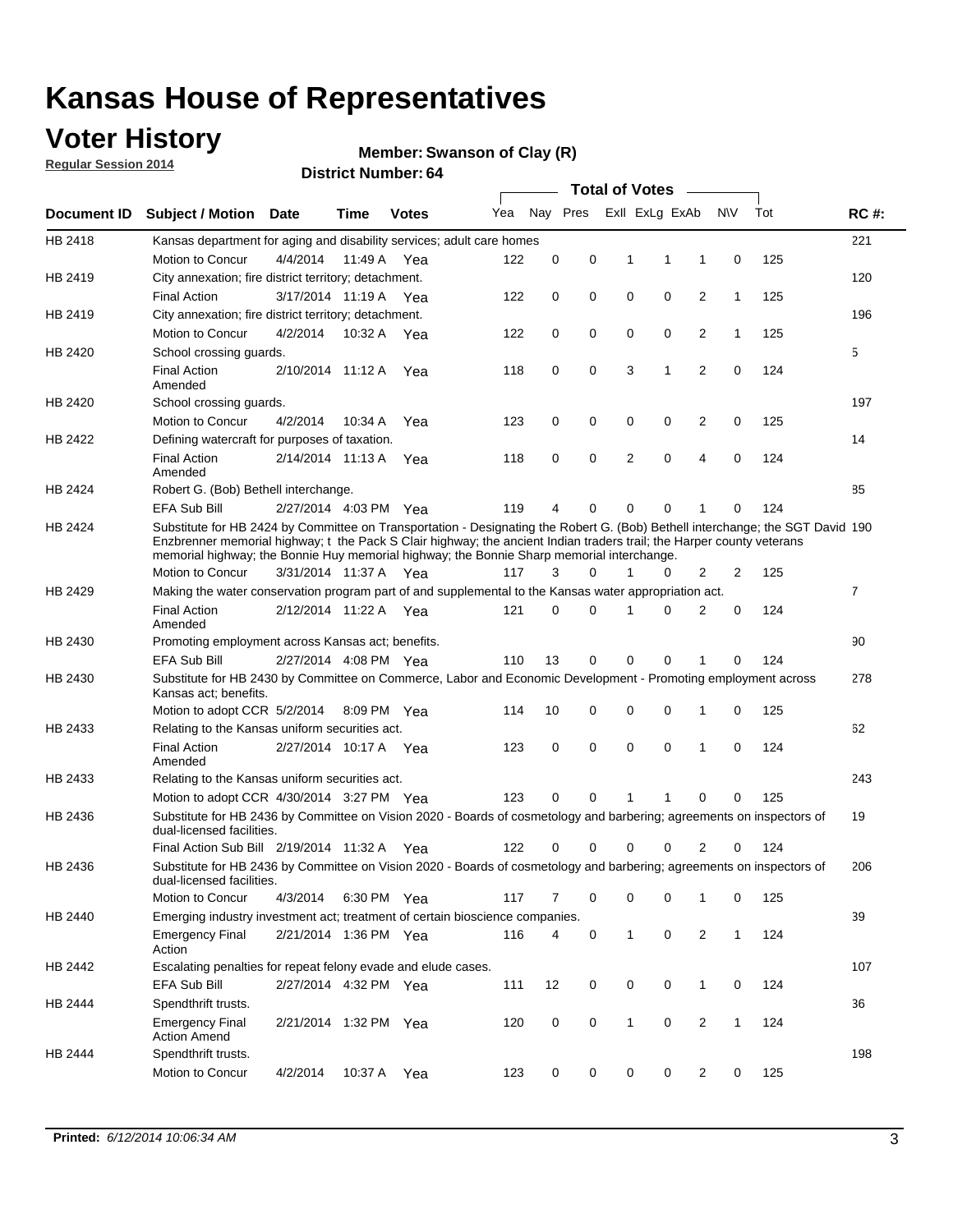## **Voter History**

**Regular Session 2014**

#### **Member: Swanson of Clay (R)**

|             |                                                                                                                                                                                                                                                                                                                                                      |                       |             | <b>DISTRICT NUMBER: 04</b> |     |          |          |              | <b>Total of Votes</b> | <b>Contract Contract</b> |              |     |                |
|-------------|------------------------------------------------------------------------------------------------------------------------------------------------------------------------------------------------------------------------------------------------------------------------------------------------------------------------------------------------------|-----------------------|-------------|----------------------------|-----|----------|----------|--------------|-----------------------|--------------------------|--------------|-----|----------------|
| Document ID | <b>Subject / Motion</b>                                                                                                                                                                                                                                                                                                                              | <b>Date</b>           | Time        | <b>Votes</b>               | Yea |          | Nay Pres |              | Exll ExLg ExAb        |                          | <b>NV</b>    | Tot | <b>RC#:</b>    |
| HB 2418     | Kansas department for aging and disability services; adult care homes                                                                                                                                                                                                                                                                                |                       |             |                            |     |          |          |              |                       |                          |              |     | 221            |
|             | <b>Motion to Concur</b>                                                                                                                                                                                                                                                                                                                              | 4/4/2014              | 11:49 A Yea |                            | 122 | 0        | 0        | 1            | 1                     | 1                        | 0            | 125 |                |
| HB 2419     | City annexation; fire district territory; detachment.                                                                                                                                                                                                                                                                                                |                       |             |                            |     |          |          |              |                       |                          |              |     | 120            |
|             | <b>Final Action</b>                                                                                                                                                                                                                                                                                                                                  | 3/17/2014 11:19 A Yea |             |                            | 122 | 0        | 0        | 0            | 0                     | 2                        | 1            | 125 |                |
| HB 2419     | City annexation; fire district territory; detachment.                                                                                                                                                                                                                                                                                                |                       |             |                            |     |          |          |              |                       |                          |              |     | 196            |
|             | Motion to Concur                                                                                                                                                                                                                                                                                                                                     | 4/2/2014              | 10:32 A Yea |                            | 122 | 0        | 0        | 0            | 0                     | 2                        | 1            | 125 |                |
| HB 2420     | School crossing guards.                                                                                                                                                                                                                                                                                                                              |                       |             |                            |     |          |          |              |                       |                          |              |     | 5              |
|             | <b>Final Action</b><br>Amended                                                                                                                                                                                                                                                                                                                       | 2/10/2014 11:12 A     |             | Yea                        | 118 | 0        | 0        | 3            | 1                     | $\overline{2}$           | 0            | 124 |                |
| HB 2420     | School crossing guards.                                                                                                                                                                                                                                                                                                                              |                       |             |                            |     |          |          |              |                       |                          |              |     | 197            |
|             | Motion to Concur                                                                                                                                                                                                                                                                                                                                     | 4/2/2014              | 10:34 A     | Yea                        | 123 | 0        | 0        | 0            | 0                     | $\overline{2}$           | 0            | 125 |                |
| HB 2422     | Defining watercraft for purposes of taxation.                                                                                                                                                                                                                                                                                                        |                       |             |                            |     |          |          |              |                       |                          |              |     | 14             |
|             | <b>Final Action</b><br>Amended                                                                                                                                                                                                                                                                                                                       | 2/14/2014 11:13 A     |             | Yea                        | 118 | 0        | 0        | 2            | $\mathbf 0$           | $\overline{4}$           | 0            | 124 |                |
| HB 2424     | Robert G. (Bob) Bethell interchange.                                                                                                                                                                                                                                                                                                                 |                       |             |                            |     |          |          |              |                       |                          |              |     | 85             |
|             | EFA Sub Bill                                                                                                                                                                                                                                                                                                                                         | 2/27/2014 4:03 PM Yea |             |                            | 119 | 4        | 0        | 0            | 0                     | 1                        | 0            | 124 |                |
| HB 2424     | Substitute for HB 2424 by Committee on Transportation - Designating the Robert G. (Bob) Bethell interchange; the SGT David 190<br>Enzbrenner memorial highway; t the Pack S Clair highway; the ancient Indian traders trail; the Harper county veterans<br>memorial highway; the Bonnie Huy memorial highway; the Bonnie Sharp memorial interchange. |                       |             |                            |     |          |          |              |                       |                          |              |     |                |
|             | Motion to Concur                                                                                                                                                                                                                                                                                                                                     | 3/31/2014 11:37 A Yea |             |                            | 117 | 3        | $\Omega$ |              | 0                     | 2                        | 2            | 125 |                |
| HB 2429     | Making the water conservation program part of and supplemental to the Kansas water appropriation act.                                                                                                                                                                                                                                                |                       |             |                            |     |          |          |              |                       |                          |              |     | $\overline{7}$ |
|             | <b>Final Action</b><br>Amended                                                                                                                                                                                                                                                                                                                       | 2/12/2014 11:22 A Yea |             |                            | 121 | $\Omega$ | $\Omega$ | 1            | 0                     | 2                        | 0            | 124 |                |
| HB 2430     | Promoting employment across Kansas act; benefits.                                                                                                                                                                                                                                                                                                    |                       |             |                            |     |          |          |              |                       |                          |              |     | 90             |
|             | EFA Sub Bill                                                                                                                                                                                                                                                                                                                                         | 2/27/2014 4:08 PM Yea |             |                            | 110 | 13       | 0        | 0            | 0                     | 1                        | 0            | 124 |                |
| HB 2430     | Substitute for HB 2430 by Committee on Commerce, Labor and Economic Development - Promoting employment across<br>Kansas act; benefits.                                                                                                                                                                                                               |                       |             |                            |     |          |          |              |                       |                          |              |     | 278            |
|             | Motion to adopt CCR 5/2/2014                                                                                                                                                                                                                                                                                                                         |                       | 8:09 PM Yea |                            | 114 | 10       | 0        | 0            | 0                     | 1                        | 0            | 125 |                |
| HB 2433     | Relating to the Kansas uniform securities act.                                                                                                                                                                                                                                                                                                       |                       |             |                            |     |          |          |              |                       |                          |              |     | 62             |
|             | <b>Final Action</b><br>Amended                                                                                                                                                                                                                                                                                                                       | 2/27/2014 10:17 A Yea |             |                            | 123 | 0        | 0        | 0            | $\mathbf 0$           | 1                        | 0            | 124 |                |
| HB 2433     | Relating to the Kansas uniform securities act.                                                                                                                                                                                                                                                                                                       |                       |             |                            |     |          |          |              |                       |                          |              |     | 243            |
|             | Motion to adopt CCR 4/30/2014 3:27 PM Yea                                                                                                                                                                                                                                                                                                            |                       |             |                            | 123 | 0        | $\Omega$ | 1            | 1                     | $\Omega$                 | 0            | 125 |                |
| HB 2436     | Substitute for HB 2436 by Committee on Vision 2020 - Boards of cosmetology and barbering; agreements on inspectors of<br>dual-licensed facilities.                                                                                                                                                                                                   |                       |             |                            |     |          |          |              |                       |                          |              |     | 19             |
|             | Final Action Sub Bill 2/19/2014 11:32 A Yea                                                                                                                                                                                                                                                                                                          |                       |             |                            | 122 | 0        | 0        |              | 0                     | 2                        | 0            | 124 |                |
| HB 2436     | Substitute for HB 2436 by Committee on Vision 2020 - Boards of cosmetology and barbering; agreements on inspectors of<br>dual-licensed facilities.                                                                                                                                                                                                   |                       |             |                            |     |          |          |              |                       |                          |              |     | 206            |
|             | Motion to Concur                                                                                                                                                                                                                                                                                                                                     | 4/3/2014              | 6:30 PM Yea |                            | 117 | 7        | 0        | 0            | 0                     | $\mathbf{1}$             | 0            | 125 |                |
| HB 2440     | Emerging industry investment act; treatment of certain bioscience companies.                                                                                                                                                                                                                                                                         |                       |             |                            |     |          |          |              |                       |                          |              |     | 39             |
|             | <b>Emergency Final</b><br>Action                                                                                                                                                                                                                                                                                                                     | 2/21/2014 1:36 PM Yea |             |                            | 116 | 4        | 0        | $\mathbf{1}$ | 0                     | $\overline{2}$           | $\mathbf{1}$ | 124 |                |
| HB 2442     | Escalating penalties for repeat felony evade and elude cases.                                                                                                                                                                                                                                                                                        |                       |             |                            |     |          |          |              |                       |                          |              |     | 107            |
|             | EFA Sub Bill                                                                                                                                                                                                                                                                                                                                         | 2/27/2014 4:32 PM Yea |             |                            | 111 | 12       | 0        | 0            | 0                     | $\mathbf{1}$             | 0            | 124 |                |
| HB 2444     | Spendthrift trusts.                                                                                                                                                                                                                                                                                                                                  |                       |             |                            |     |          |          |              |                       |                          |              |     | 36             |
|             | <b>Emergency Final</b><br><b>Action Amend</b>                                                                                                                                                                                                                                                                                                        | 2/21/2014 1:32 PM Yea |             |                            | 120 | 0        | 0        | $\mathbf{1}$ | 0                     | $\overline{2}$           | $\mathbf{1}$ | 124 |                |
| HB 2444     | Spendthrift trusts.                                                                                                                                                                                                                                                                                                                                  |                       |             |                            |     |          |          |              |                       |                          |              |     | 198            |
|             | Motion to Concur                                                                                                                                                                                                                                                                                                                                     | 4/2/2014              | 10:37 A     | Yea                        | 123 | 0        | 0        | 0            | 0                     | $\overline{2}$           | 0            | 125 |                |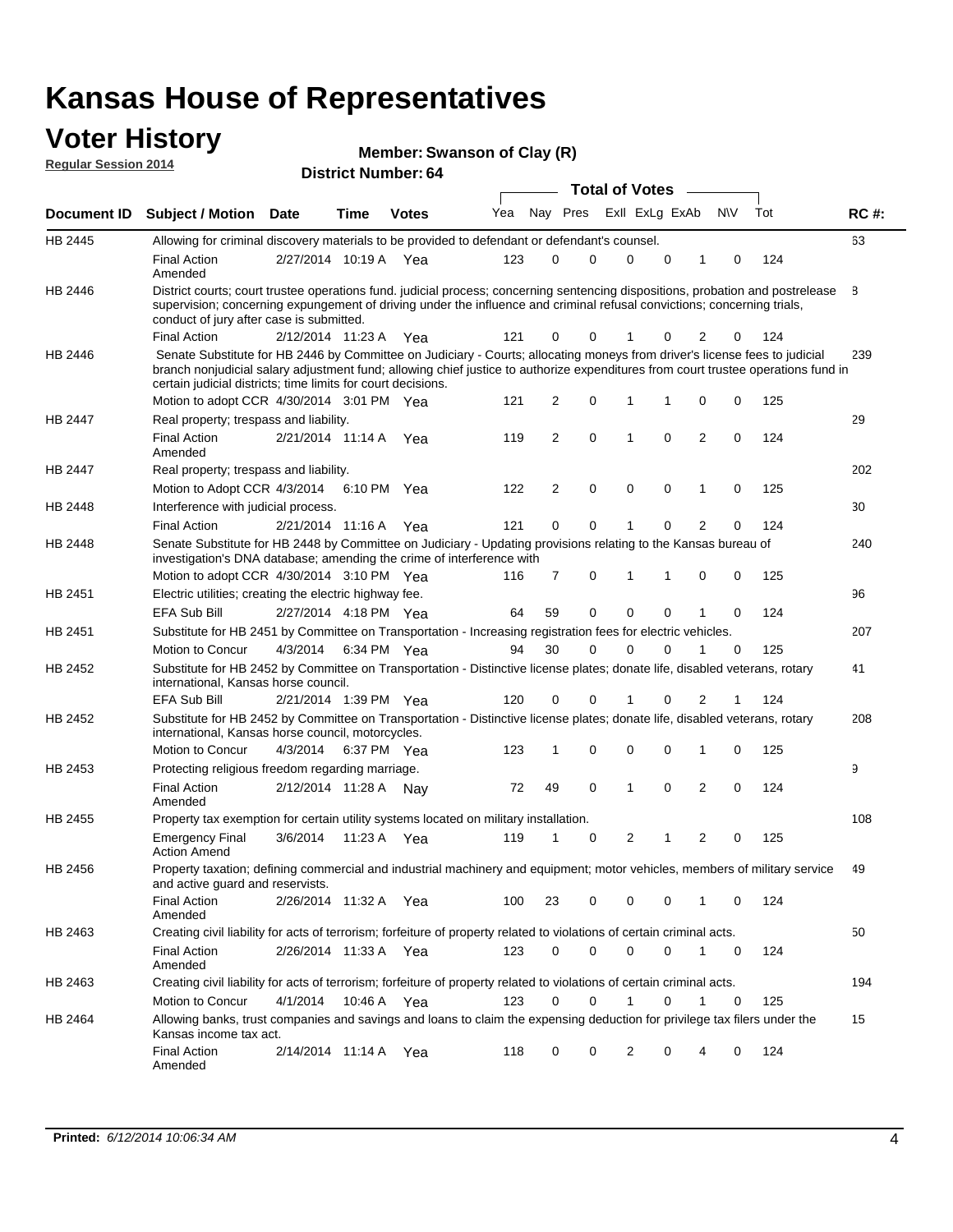#### **Voter History Regular Session 2014**

| <b>Member: Swanson of Clay (R)</b> |  |  |  |  |
|------------------------------------|--|--|--|--|
|------------------------------------|--|--|--|--|

|                |                                                                                                                                                                                                                                                                                                                                 |                       |      |              |     |    |             | <b>Total of Votes</b> |             |                |             |     |             |
|----------------|---------------------------------------------------------------------------------------------------------------------------------------------------------------------------------------------------------------------------------------------------------------------------------------------------------------------------------|-----------------------|------|--------------|-----|----|-------------|-----------------------|-------------|----------------|-------------|-----|-------------|
|                | Document ID Subject / Motion Date                                                                                                                                                                                                                                                                                               |                       | Time | <b>Votes</b> | Yea |    | Nay Pres    | Exll ExLg ExAb        |             |                | <b>NV</b>   | Tot | <b>RC#:</b> |
| HB 2445        | Allowing for criminal discovery materials to be provided to defendant or defendant's counsel.                                                                                                                                                                                                                                   |                       |      |              |     |    |             |                       |             |                |             |     | 63          |
|                | <b>Final Action</b><br>Amended                                                                                                                                                                                                                                                                                                  | 2/27/2014 10:19 A Yea |      |              | 123 | 0  | 0           | $\mathbf 0$           | $\mathbf 0$ | 1              | 0           | 124 |             |
| HB 2446        | District courts; court trustee operations fund. judicial process; concerning sentencing dispositions, probation and postrelease<br>supervision; concerning expungement of driving under the influence and criminal refusal convictions; concerning trials,<br>conduct of jury after case is submitted.                          |                       |      |              |     |    |             |                       |             |                |             |     | 8           |
|                | <b>Final Action</b>                                                                                                                                                                                                                                                                                                             | 2/12/2014 11:23 A Yea |      |              | 121 | 0  | 0           |                       | 0           | 2              | 0           | 124 |             |
| HB 2446        | Senate Substitute for HB 2446 by Committee on Judiciary - Courts; allocating moneys from driver's license fees to judicial<br>branch nonjudicial salary adjustment fund; allowing chief justice to authorize expenditures from court trustee operations fund in<br>certain judicial districts; time limits for court decisions. |                       |      |              |     |    |             |                       |             |                |             |     | 239         |
|                | Motion to adopt CCR 4/30/2014 3:01 PM Yea                                                                                                                                                                                                                                                                                       |                       |      |              | 121 | 2  | 0           | 1                     | 1           | 0              | 0           | 125 |             |
| <b>HB 2447</b> | Real property; trespass and liability.                                                                                                                                                                                                                                                                                          |                       |      |              |     |    |             |                       |             |                |             |     | 29          |
|                | <b>Final Action</b><br>Amended                                                                                                                                                                                                                                                                                                  | 2/21/2014 11:14 A Yea |      |              | 119 | 2  | $\mathbf 0$ | $\mathbf 1$           | $\mathbf 0$ | 2              | 0           | 124 |             |
| HB 2447        | Real property; trespass and liability.                                                                                                                                                                                                                                                                                          |                       |      |              |     |    |             |                       |             |                |             |     | 202         |
|                | Motion to Adopt CCR 4/3/2014                                                                                                                                                                                                                                                                                                    |                       |      | 6:10 PM Yea  | 122 | 2  | $\mathbf 0$ | $\mathbf 0$           | $\mathbf 0$ | 1              | 0           | 125 |             |
| HB 2448        | Interference with judicial process.                                                                                                                                                                                                                                                                                             |                       |      |              |     |    |             |                       |             |                |             |     | 30          |
|                | <b>Final Action</b>                                                                                                                                                                                                                                                                                                             | 2/21/2014 11:16 A Yea |      |              | 121 | 0  | 0           | $\mathbf 1$           | $\Omega$    | $\overline{2}$ | $\Omega$    | 124 |             |
| HB 2448        | Senate Substitute for HB 2448 by Committee on Judiciary - Updating provisions relating to the Kansas bureau of<br>investigation's DNA database; amending the crime of interference with                                                                                                                                         |                       |      |              |     |    |             |                       |             |                |             |     | 240         |
|                | Motion to adopt CCR 4/30/2014 3:10 PM Yea                                                                                                                                                                                                                                                                                       |                       |      |              | 116 | 7  | 0           | 1                     | 1           | 0              | 0           | 125 |             |
| HB 2451        | Electric utilities; creating the electric highway fee.                                                                                                                                                                                                                                                                          |                       |      |              |     |    |             |                       |             |                |             |     | 96          |
|                | <b>EFA Sub Bill</b>                                                                                                                                                                                                                                                                                                             | 2/27/2014 4:18 PM Yea |      |              | 64  | 59 | 0           | $\mathbf 0$           | 0           | 1              | 0           | 124 |             |
| HB 2451        | Substitute for HB 2451 by Committee on Transportation - Increasing registration fees for electric vehicles.                                                                                                                                                                                                                     |                       |      |              |     |    |             |                       |             |                |             |     | 207         |
|                | Motion to Concur                                                                                                                                                                                                                                                                                                                | 4/3/2014              |      | 6:34 PM Yea  | 94  | 30 | 0           | $\Omega$              | 0           |                | 0           | 125 |             |
| HB 2452        | Substitute for HB 2452 by Committee on Transportation - Distinctive license plates; donate life, disabled veterans, rotary<br>international, Kansas horse council.                                                                                                                                                              |                       |      |              |     |    |             |                       |             |                |             |     | 41          |
|                | <b>EFA Sub Bill</b>                                                                                                                                                                                                                                                                                                             | 2/21/2014 1:39 PM Yea |      |              | 120 | 0  | 0           |                       | 0           | 2              | 1           | 124 |             |
| HB 2452        | Substitute for HB 2452 by Committee on Transportation - Distinctive license plates; donate life, disabled veterans, rotary<br>international, Kansas horse council, motorcycles.                                                                                                                                                 |                       |      |              |     |    |             |                       |             |                |             |     | 208         |
|                | Motion to Concur                                                                                                                                                                                                                                                                                                                | 4/3/2014              |      | 6:37 PM Yea  | 123 | 1  | $\mathbf 0$ | $\mathbf 0$           | 0           | 1              | 0           | 125 |             |
| HB 2453        | Protecting religious freedom regarding marriage.                                                                                                                                                                                                                                                                                |                       |      |              |     |    |             |                       |             |                |             |     | 9           |
|                | <b>Final Action</b><br>Amended                                                                                                                                                                                                                                                                                                  | 2/12/2014 11:28 A Nay |      |              | 72  | 49 | $\mathbf 0$ | $\overline{1}$        | $\Omega$    | 2              | 0           | 124 |             |
| HB 2455        | Property tax exemption for certain utility systems located on military installation.                                                                                                                                                                                                                                            |                       |      |              |     |    |             |                       |             |                |             |     | 108         |
|                | <b>Emergency Final</b><br><b>Action Amend</b>                                                                                                                                                                                                                                                                                   | 3/6/2014              |      | 11:23 A Yea  | 119 | 1  | 0           | $\overline{2}$        | 1           | 2              | 0           | 125 |             |
| HB 2456        | Property taxation; defining commercial and industrial machinery and equipment; motor vehicles, members of military service<br>and active guard and reservists.                                                                                                                                                                  |                       |      |              |     |    |             |                       |             |                |             |     | 49          |
|                | <b>Final Action</b><br>Amended                                                                                                                                                                                                                                                                                                  | 2/26/2014 11:32 A Yea |      |              | 100 | 23 | 0           | 0                     | 0           | 1              | 0           | 124 |             |
| HB 2463        | Creating civil liability for acts of terrorism; forfeiture of property related to violations of certain criminal acts.                                                                                                                                                                                                          |                       |      |              |     |    |             |                       |             |                |             |     | 50          |
|                | <b>Final Action</b><br>Amended                                                                                                                                                                                                                                                                                                  | 2/26/2014 11:33 A Yea |      |              | 123 | 0  | $\mathbf 0$ | $\mathbf 0$           | $\mathbf 0$ | $\mathbf{1}$   | $\mathbf 0$ | 124 |             |
| HB 2463        | Creating civil liability for acts of terrorism; forfeiture of property related to violations of certain criminal acts.                                                                                                                                                                                                          |                       |      |              |     |    |             |                       |             |                |             |     | 194         |
|                | Motion to Concur                                                                                                                                                                                                                                                                                                                | 4/1/2014              |      | 10:46 A Yea  | 123 | 0  | $\mathbf 0$ | 1                     | 0           | 1              | 0           | 125 |             |
| HB 2464        | Allowing banks, trust companies and savings and loans to claim the expensing deduction for privilege tax filers under the<br>Kansas income tax act.                                                                                                                                                                             |                       |      |              |     |    |             |                       |             |                |             |     | 15          |
|                | <b>Final Action</b><br>Amended                                                                                                                                                                                                                                                                                                  | 2/14/2014 11:14 A Yea |      |              | 118 | 0  | 0           | 2                     | 0           | 4              | 0           | 124 |             |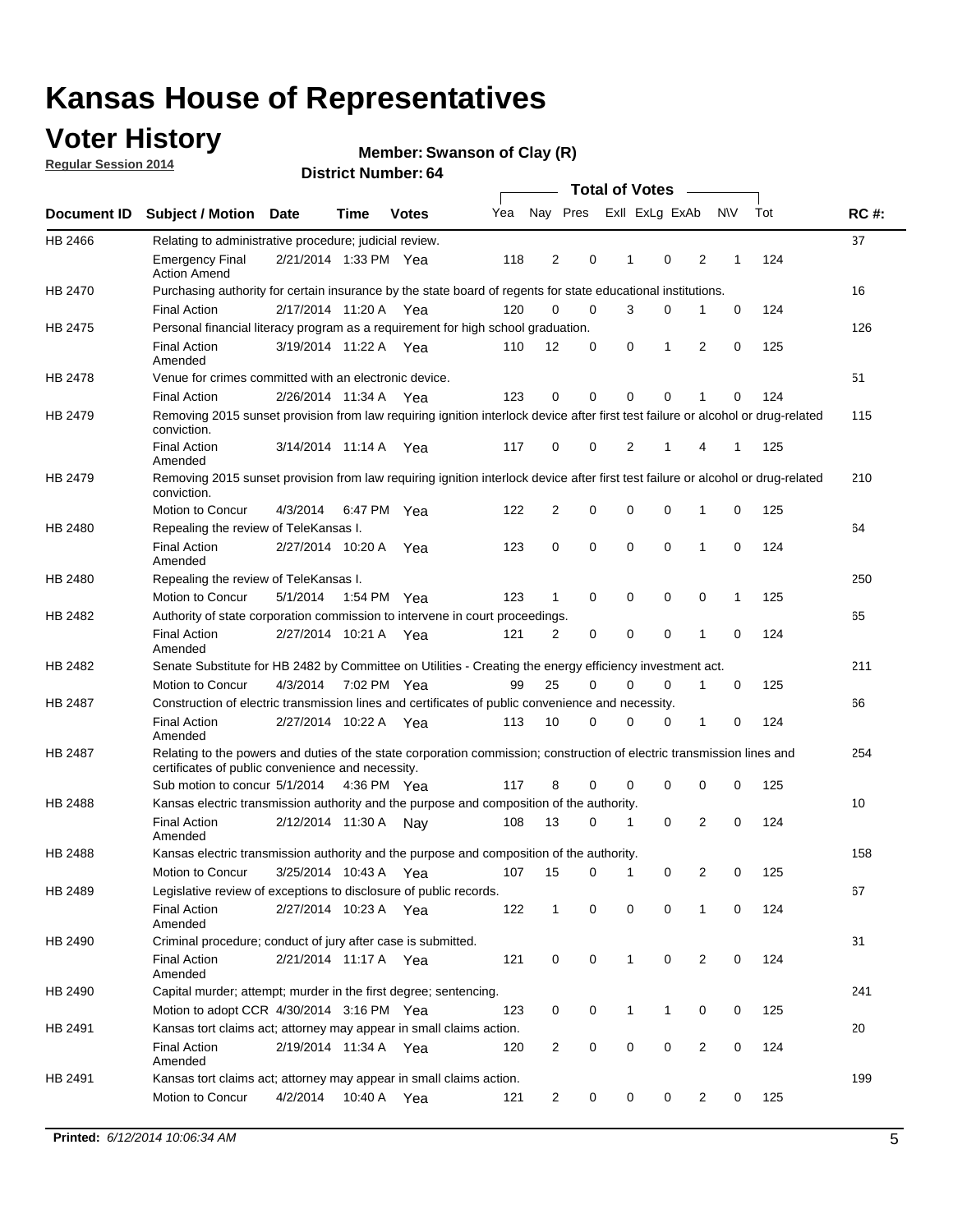## **Voter History**

**Regular Session 2014**

#### **Member: Swanson of Clay (R)**

|                |                                                                                                                                                                             |                       |             |              |     |                |             | <b>Total of Votes</b> |             |                |             |     |             |
|----------------|-----------------------------------------------------------------------------------------------------------------------------------------------------------------------------|-----------------------|-------------|--------------|-----|----------------|-------------|-----------------------|-------------|----------------|-------------|-----|-------------|
|                | Document ID Subject / Motion Date                                                                                                                                           |                       | Time        | <b>Votes</b> | Yea |                | Nay Pres    | Exll ExLg ExAb        |             |                | <b>NV</b>   | Tot | <b>RC#:</b> |
| HB 2466        | Relating to administrative procedure; judicial review.                                                                                                                      |                       |             |              |     |                |             |                       |             |                |             |     | 37          |
|                | <b>Emergency Final</b><br><b>Action Amend</b>                                                                                                                               | 2/21/2014 1:33 PM Yea |             |              | 118 | 2              | 0           | 1                     | 0           | 2              | 1           | 124 |             |
| <b>HB 2470</b> | Purchasing authority for certain insurance by the state board of regents for state educational institutions.                                                                |                       |             |              |     |                |             |                       |             |                |             |     | 16          |
|                | <b>Final Action</b>                                                                                                                                                         | 2/17/2014 11:20 A Yea |             |              | 120 | $\Omega$       | 0           | 3                     | 0           | 1              | 0           | 124 |             |
| <b>HB 2475</b> | Personal financial literacy program as a requirement for high school graduation.                                                                                            |                       |             |              |     |                |             |                       |             |                |             |     | 126         |
|                | <b>Final Action</b><br>Amended                                                                                                                                              | 3/19/2014 11:22 A Yea |             |              | 110 | 12             | 0           | 0                     | 1           | 2              | $\mathbf 0$ | 125 |             |
| HB 2478        | Venue for crimes committed with an electronic device.                                                                                                                       |                       |             |              |     |                |             |                       |             |                |             |     | 51          |
|                | <b>Final Action</b>                                                                                                                                                         | 2/26/2014 11:34 A     |             | Yea          | 123 | 0              | 0           | $\mathbf 0$           | $\mathbf 0$ | 1              | 0           | 124 |             |
| HB 2479        | Removing 2015 sunset provision from law requiring ignition interlock device after first test failure or alcohol or drug-related<br>conviction.                              |                       |             |              |     |                |             |                       |             |                |             |     | 115         |
|                | <b>Final Action</b><br>Amended                                                                                                                                              | 3/14/2014 11:14 A     |             | Yea          | 117 | $\mathbf 0$    | 0           | 2                     | 1           | 4              | 1           | 125 |             |
| HB 2479        | Removing 2015 sunset provision from law requiring ignition interlock device after first test failure or alcohol or drug-related<br>conviction.                              |                       |             |              |     |                |             |                       |             |                |             |     | 210         |
|                | Motion to Concur                                                                                                                                                            | 4/3/2014              |             | 6:47 PM Yea  | 122 | $\overline{2}$ | 0           | $\mathbf 0$           | $\mathbf 0$ | 1              | 0           | 125 |             |
| <b>HB 2480</b> | Repealing the review of TeleKansas I.                                                                                                                                       |                       |             |              |     |                |             |                       |             |                |             |     | 64          |
|                | <b>Final Action</b><br>Amended                                                                                                                                              | 2/27/2014 10:20 A Yea |             |              | 123 | 0              | $\mathbf 0$ | $\mathbf 0$           | $\mathbf 0$ | 1              | $\mathbf 0$ | 124 |             |
| HB 2480        | Repealing the review of TeleKansas I.                                                                                                                                       |                       |             |              |     |                |             |                       |             |                |             |     | 250         |
|                | Motion to Concur                                                                                                                                                            | 5/1/2014              | 1:54 PM Yea |              | 123 | 1              | 0           | $\mathbf 0$           | $\mathbf 0$ | 0              | 1           | 125 |             |
| HB 2482        | Authority of state corporation commission to intervene in court proceedings.                                                                                                |                       |             |              |     |                |             |                       |             |                |             |     | 65          |
|                | <b>Final Action</b><br>Amended                                                                                                                                              | 2/27/2014 10:21 A     |             | Yea          | 121 | $\overline{2}$ | 0           | $\mathbf 0$           | $\mathbf 0$ | 1              | $\mathbf 0$ | 124 |             |
| HB 2482        | Senate Substitute for HB 2482 by Committee on Utilities - Creating the energy efficiency investment act.                                                                    |                       |             |              |     |                |             |                       |             |                |             |     | 211         |
|                | Motion to Concur                                                                                                                                                            | 4/3/2014              |             | 7:02 PM Yea  | 99  | 25             | $\mathbf 0$ | 0                     | 0           | 1              | 0           | 125 |             |
| <b>HB 2487</b> | Construction of electric transmission lines and certificates of public convenience and necessity.                                                                           |                       |             |              |     |                |             |                       |             |                |             |     | 66          |
|                | <b>Final Action</b><br>Amended                                                                                                                                              | 2/27/2014 10:22 A     |             | Yea          | 113 | 10             | 0           | $\mathbf 0$           | 0           | 1              | 0           | 124 |             |
| HB 2487        | Relating to the powers and duties of the state corporation commission; construction of electric transmission lines and<br>certificates of public convenience and necessity. |                       |             |              |     |                |             |                       |             |                |             |     | 254         |
|                | Sub motion to concur 5/1/2014                                                                                                                                               |                       | 4:36 PM Yea |              | 117 | 8              | 0           | $\Omega$              | 0           | 0              | 0           | 125 |             |
| <b>HB 2488</b> | Kansas electric transmission authority and the purpose and composition of the authority.                                                                                    |                       |             |              |     |                |             |                       |             |                |             |     | 10          |
|                | <b>Final Action</b><br>Amended                                                                                                                                              | 2/12/2014 11:30 A Nay |             |              | 108 | 13             | $\mathbf 0$ | 1                     | 0           | 2              | 0           | 124 |             |
| HB 2488        | Kansas electric transmission authority and the purpose and composition of the authority.                                                                                    |                       |             |              |     |                |             |                       |             |                |             |     | 158         |
|                | Motion to Concur                                                                                                                                                            | 3/25/2014 10:43 A     |             | Yea          | 107 | 15             | 0           | 1                     | 0           | 2              | 0           | 125 |             |
| HB 2489        | Legislative review of exceptions to disclosure of public records.                                                                                                           |                       |             |              |     |                |             |                       |             |                |             |     | 67          |
|                | <b>Final Action</b><br>Amended                                                                                                                                              | 2/27/2014 10:23 A Yea |             |              | 122 | $\mathbf{1}$   | 0           | 0                     | $\mathbf 0$ | 1              | 0           | 124 |             |
| HB 2490        | Criminal procedure; conduct of jury after case is submitted.                                                                                                                |                       |             |              |     |                |             |                       |             |                |             |     | 31          |
|                | <b>Final Action</b><br>Amended                                                                                                                                              | 2/21/2014 11:17 A Yea |             |              | 121 | 0              | 0           | $\mathbf{1}$          | $\mathbf 0$ | 2              | $\mathbf 0$ | 124 |             |
| HB 2490        | Capital murder; attempt; murder in the first degree; sentencing.                                                                                                            |                       |             |              |     |                |             |                       |             |                |             |     | 241         |
|                | Motion to adopt CCR 4/30/2014 3:16 PM Yea                                                                                                                                   |                       |             |              | 123 | 0              | 0           | 1                     | 1           | 0              | 0           | 125 |             |
| HB 2491        | Kansas tort claims act; attorney may appear in small claims action.                                                                                                         |                       |             |              |     |                |             |                       |             |                |             |     | 20          |
|                | <b>Final Action</b><br>Amended                                                                                                                                              | 2/19/2014 11:34 A Yea |             |              | 120 | $\overline{c}$ | 0           | 0                     | 0           | $\overline{2}$ | 0           | 124 |             |
| HB 2491        | Kansas tort claims act; attorney may appear in small claims action.                                                                                                         |                       |             |              |     |                |             |                       |             |                |             |     | 199         |
|                | Motion to Concur                                                                                                                                                            | 4/2/2014              |             | 10:40 A Yea  | 121 | $\overline{c}$ | 0           | 0                     | 0           | 2              | 0           | 125 |             |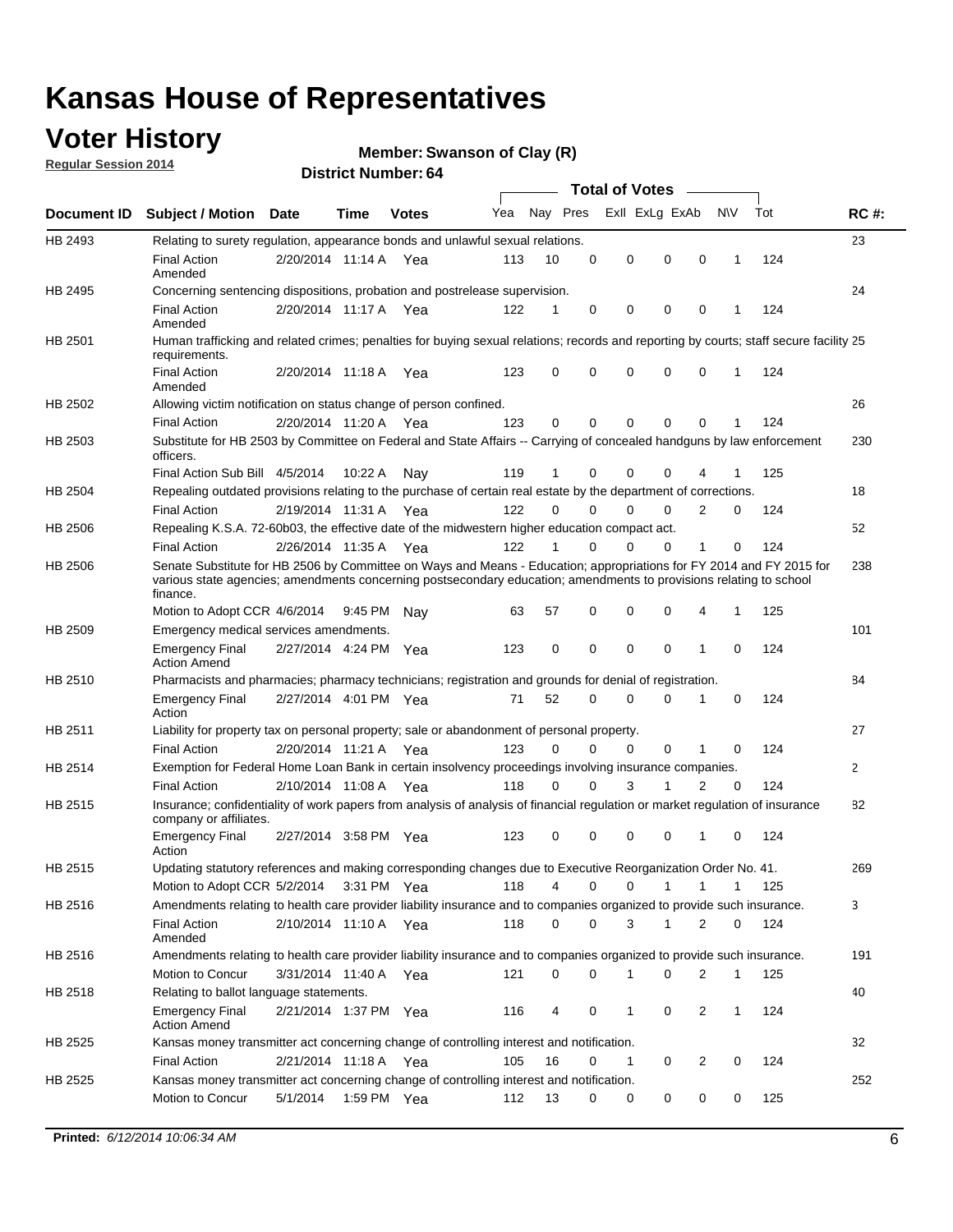## **Voter History**

**Regular Session 2014**

#### **Member: Swanson of Clay (R)**

|                |                                                                                                                                                                                                                                                        |                       |             | <b>DISTRICT NUMBER: 04</b> |     |          |          |                       |                 |             |              |     |             |
|----------------|--------------------------------------------------------------------------------------------------------------------------------------------------------------------------------------------------------------------------------------------------------|-----------------------|-------------|----------------------------|-----|----------|----------|-----------------------|-----------------|-------------|--------------|-----|-------------|
|                |                                                                                                                                                                                                                                                        |                       |             |                            |     |          |          | <b>Total of Votes</b> | $\sim 10^{-11}$ |             |              |     |             |
| Document ID    | <b>Subject / Motion</b>                                                                                                                                                                                                                                | Date                  | Time        | <b>Votes</b>               | Yea |          | Nay Pres |                       | Exll ExLg ExAb  | N\V         |              | Tot | <b>RC#:</b> |
| HB 2493        | Relating to surety regulation, appearance bonds and unlawful sexual relations.                                                                                                                                                                         |                       |             |                            |     |          |          |                       |                 |             |              |     | 23          |
|                | <b>Final Action</b><br>Amended                                                                                                                                                                                                                         | 2/20/2014 11:14 A Yea |             |                            | 113 | 10       | 0        | 0                     | $\mathbf 0$     | $\mathbf 0$ | 1            | 124 |             |
| HB 2495        | Concerning sentencing dispositions, probation and postrelease supervision.                                                                                                                                                                             |                       |             |                            |     |          |          |                       |                 |             |              |     | 24          |
|                | <b>Final Action</b><br>Amended                                                                                                                                                                                                                         | 2/20/2014 11:17 A Yea |             |                            | 122 | 1        | 0        | 0                     | $\mathbf 0$     | 0           | 1            | 124 |             |
| HB 2501        | Human trafficking and related crimes; penalties for buying sexual relations; records and reporting by courts; staff secure facility 25<br>requirements.                                                                                                |                       |             |                            |     |          |          |                       |                 |             |              |     |             |
|                | <b>Final Action</b><br>Amended                                                                                                                                                                                                                         | 2/20/2014 11:18 A Yea |             |                            | 123 | $\Omega$ | 0        | 0                     | $\Omega$        | $\mathbf 0$ | -1           | 124 |             |
| HB 2502        | Allowing victim notification on status change of person confined.                                                                                                                                                                                      |                       |             |                            |     |          |          |                       |                 |             |              |     | 26          |
|                | <b>Final Action</b>                                                                                                                                                                                                                                    | 2/20/2014 11:20 A Yea |             |                            | 123 | 0        | 0        | 0                     | 0               | $\Omega$    | 1            | 124 |             |
| HB 2503        | Substitute for HB 2503 by Committee on Federal and State Affairs -- Carrying of concealed handguns by law enforcement<br>officers.                                                                                                                     |                       |             |                            |     |          |          |                       |                 |             |              |     | 230         |
|                | Final Action Sub Bill 4/5/2014                                                                                                                                                                                                                         |                       | 10:22 A     | Nay                        | 119 | 1        | 0        | 0                     | 0               |             |              | 125 |             |
| <b>HB 2504</b> | Repealing outdated provisions relating to the purchase of certain real estate by the department of corrections.                                                                                                                                        |                       |             |                            |     |          |          |                       |                 |             |              |     | 18          |
|                | <b>Final Action</b>                                                                                                                                                                                                                                    | 2/19/2014 11:31 A     |             | Yea                        | 122 | $\Omega$ | 0        | 0                     | 0               | 2           | 0            | 124 |             |
| HB 2506        | Repealing K.S.A. 72-60b03, the effective date of the midwestern higher education compact act.                                                                                                                                                          |                       |             |                            |     |          |          |                       |                 |             |              |     | 52          |
|                | <b>Final Action</b>                                                                                                                                                                                                                                    | 2/26/2014 11:35 A Yea |             |                            | 122 | 1        | 0        | 0                     | $\Omega$        | 1           | 0            | 124 |             |
| HB 2506        | Senate Substitute for HB 2506 by Committee on Ways and Means - Education; appropriations for FY 2014 and FY 2015 for<br>various state agencies; amendments concerning postsecondary education; amendments to provisions relating to school<br>finance. |                       |             |                            |     |          |          |                       |                 |             |              |     | 238         |
|                | Motion to Adopt CCR 4/6/2014                                                                                                                                                                                                                           |                       | 9:45 PM     | Nav                        | 63  | 57       | 0        | 0                     | 0               | 4           | $\mathbf 1$  | 125 |             |
| HB 2509        | Emergency medical services amendments.                                                                                                                                                                                                                 |                       |             |                            |     |          |          |                       |                 |             |              |     | 101         |
|                | <b>Emergency Final</b><br><b>Action Amend</b>                                                                                                                                                                                                          | 2/27/2014 4:24 PM Yea |             |                            | 123 | 0        | 0        | $\mathbf 0$           | $\Omega$        | 1           | $\Omega$     | 124 |             |
| HB 2510        | Pharmacists and pharmacies; pharmacy technicians; registration and grounds for denial of registration.                                                                                                                                                 |                       |             |                            |     |          |          |                       |                 |             |              |     | 84          |
|                | <b>Emergency Final</b><br>Action                                                                                                                                                                                                                       | 2/27/2014 4:01 PM Yea |             |                            | 71  | 52       | 0        | 0                     | 0               | 1           | $\Omega$     | 124 |             |
| HB 2511        | Liability for property tax on personal property; sale or abandonment of personal property.                                                                                                                                                             |                       |             |                            |     |          |          |                       |                 |             |              |     | 27          |
|                | <b>Final Action</b>                                                                                                                                                                                                                                    | 2/20/2014 11:21 A Yea |             |                            | 123 | $\Omega$ | $\Omega$ | 0                     | 0               | 1           | 0            | 124 |             |
| HB 2514        | Exemption for Federal Home Loan Bank in certain insolvency proceedings involving insurance companies.                                                                                                                                                  |                       |             |                            |     |          |          |                       |                 |             |              |     | 2           |
|                | <b>Final Action</b>                                                                                                                                                                                                                                    | 2/10/2014 11:08 A Yea |             |                            | 118 | $\Omega$ | $\Omega$ | 3                     | 1               | 2           | 0            | 124 |             |
| HB 2515        | Insurance; confidentiality of work papers from analysis of analysis of financial regulation or market regulation of insurance<br>company or affiliates.                                                                                                |                       |             |                            |     |          |          |                       |                 |             |              |     | 82          |
|                | <b>Emergency Final</b><br>Action                                                                                                                                                                                                                       | 2/27/2014 3:58 PM Yea |             |                            | 123 | 0        | $\Omega$ | 0                     | 0               | 1           | $\Omega$     | 124 |             |
| HB 2515        | Updating statutory references and making corresponding changes due to Executive Reorganization Order No. 41.                                                                                                                                           |                       |             |                            |     |          |          |                       |                 |             |              |     | 269         |
|                | Motion to Adopt CCR 5/2/2014 3:31 PM Yea                                                                                                                                                                                                               |                       |             |                            | 118 | 4        | 0        | 0                     | 1               | 1           | 1            | 125 |             |
| HB 2516        | Amendments relating to health care provider liability insurance and to companies organized to provide such insurance.                                                                                                                                  |                       |             |                            |     |          |          |                       |                 |             |              |     | 3           |
|                | <b>Final Action</b><br>Amended                                                                                                                                                                                                                         | 2/10/2014 11:10 A Yea |             |                            | 118 | 0        | 0        | 3                     | $\mathbf{1}$    | 2           | 0            | 124 |             |
| HB 2516        | Amendments relating to health care provider liability insurance and to companies organized to provide such insurance.                                                                                                                                  |                       |             |                            |     |          |          |                       |                 |             |              |     | 191         |
|                | Motion to Concur                                                                                                                                                                                                                                       | 3/31/2014 11:40 A Yea |             |                            | 121 | 0        | 0        | 1                     | 0               | 2           | $\mathbf{1}$ | 125 |             |
| HB 2518        | Relating to ballot language statements.                                                                                                                                                                                                                |                       |             |                            |     |          |          |                       |                 |             |              |     | 40          |
|                | <b>Emergency Final</b><br><b>Action Amend</b>                                                                                                                                                                                                          | 2/21/2014 1:37 PM Yea |             |                            | 116 | 4        | 0        | 1                     | 0               | 2           | $\mathbf{1}$ | 124 |             |
| HB 2525        | Kansas money transmitter act concerning change of controlling interest and notification.                                                                                                                                                               |                       |             |                            |     |          |          |                       |                 |             |              |     | 32          |
|                | <b>Final Action</b>                                                                                                                                                                                                                                    | 2/21/2014 11:18 A Yea |             |                            | 105 | 16       | 0        | 1                     | 0               | 2           | 0            | 124 |             |
| HB 2525        | Kansas money transmitter act concerning change of controlling interest and notification.                                                                                                                                                               |                       |             |                            |     |          |          |                       |                 |             |              |     | 252         |
|                | Motion to Concur                                                                                                                                                                                                                                       | 5/1/2014              | 1:59 PM Yea |                            | 112 | 13       | 0        | 0                     | 0               | 0           | 0            | 125 |             |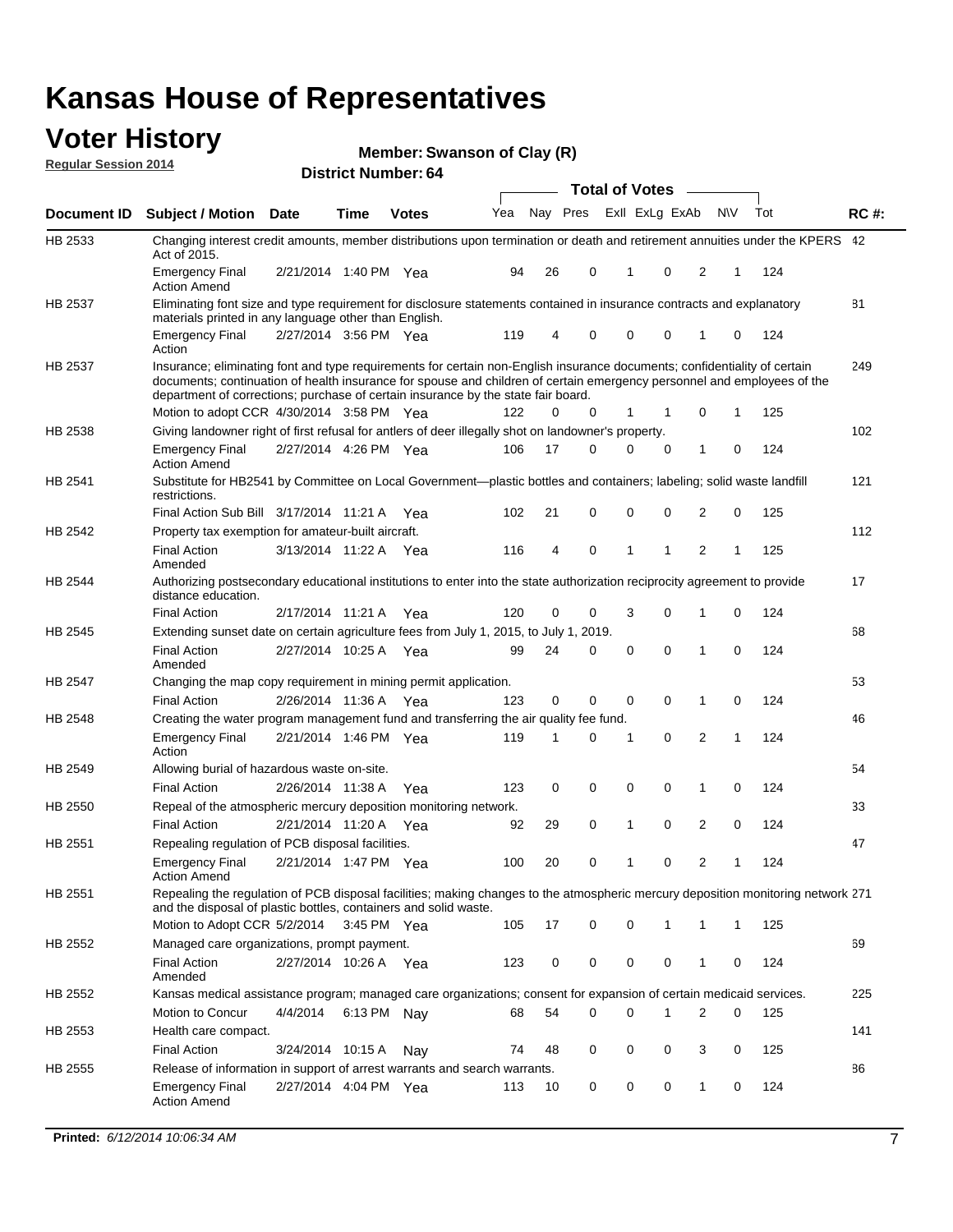#### **Voter History Regular Session 2014**

**Member: Swanson of Clay (R)** 

|                    |                                                                                                                                                                                                                                                                                                                                           |                       |             | <b>DISTRICT NUMBER: 04</b> |     |    |          |       |             | Total of Votes – |              |     |     |             |
|--------------------|-------------------------------------------------------------------------------------------------------------------------------------------------------------------------------------------------------------------------------------------------------------------------------------------------------------------------------------------|-----------------------|-------------|----------------------------|-----|----|----------|-------|-------------|------------------|--------------|-----|-----|-------------|
|                    |                                                                                                                                                                                                                                                                                                                                           |                       |             |                            |     |    |          |       |             |                  |              |     |     |             |
| <b>Document ID</b> | <b>Subject / Motion Date</b>                                                                                                                                                                                                                                                                                                              |                       | Time        | <b>Votes</b>               | Yea |    | Nay Pres |       |             | Exll ExLg ExAb   |              | N\V | Tot | <b>RC#:</b> |
| HB 2533            | Changing interest credit amounts, member distributions upon termination or death and retirement annuities under the KPERS 42<br>Act of 2015.                                                                                                                                                                                              |                       |             |                            |     |    |          |       |             |                  |              |     |     |             |
|                    | <b>Emergency Final</b><br><b>Action Amend</b>                                                                                                                                                                                                                                                                                             | 2/21/2014 1:40 PM Yea |             |                            | 94  | 26 | 0        |       | 1           | 0                | 2            | 1   | 124 |             |
| HB 2537            | Eliminating font size and type requirement for disclosure statements contained in insurance contracts and explanatory<br>materials printed in any language other than English.                                                                                                                                                            |                       |             |                            |     |    |          |       |             |                  |              |     |     | 81          |
|                    | <b>Emergency Final</b><br>Action                                                                                                                                                                                                                                                                                                          | 2/27/2014 3:56 PM Yea |             |                            | 119 | 4  | 0        |       | $\mathbf 0$ | $\mathbf 0$      | 1            | 0   | 124 |             |
| HB 2537            | Insurance; eliminating font and type requirements for certain non-English insurance documents; confidentiality of certain<br>documents; continuation of health insurance for spouse and children of certain emergency personnel and employees of the<br>department of corrections; purchase of certain insurance by the state fair board. |                       |             |                            |     |    |          |       |             |                  |              |     |     | 249         |
|                    | Motion to adopt CCR 4/30/2014 3:58 PM Yea                                                                                                                                                                                                                                                                                                 |                       |             |                            | 122 | 0  | 0        |       | $\mathbf 1$ | $\mathbf 1$      | 0            | 1   | 125 |             |
| HB 2538            | Giving landowner right of first refusal for antlers of deer illegally shot on landowner's property.                                                                                                                                                                                                                                       |                       |             |                            |     |    |          |       |             |                  |              |     |     | 102         |
|                    | <b>Emergency Final</b><br><b>Action Amend</b>                                                                                                                                                                                                                                                                                             | 2/27/2014 4:26 PM Yea |             |                            | 106 | 17 | 0        |       | 0           | 0                | 1            | 0   | 124 |             |
| HB 2541            | Substitute for HB2541 by Committee on Local Government—plastic bottles and containers; labeling; solid waste landfill<br>restrictions.                                                                                                                                                                                                    |                       |             |                            |     |    |          |       |             |                  |              |     |     | 121         |
|                    | Final Action Sub Bill 3/17/2014 11:21 A Yea                                                                                                                                                                                                                                                                                               |                       |             |                            | 102 | 21 | 0        |       | $\mathbf 0$ | 0                | 2            | 0   | 125 |             |
| HB 2542            | Property tax exemption for amateur-built aircraft.                                                                                                                                                                                                                                                                                        |                       |             |                            |     |    |          |       |             |                  |              |     |     | 112         |
|                    | <b>Final Action</b><br>Amended                                                                                                                                                                                                                                                                                                            | 3/13/2014 11:22 A Yea |             |                            | 116 | 4  | 0        |       | 1           | 1                | 2            | 1   | 125 |             |
| <b>HB 2544</b>     | Authorizing postsecondary educational institutions to enter into the state authorization reciprocity agreement to provide<br>distance education.                                                                                                                                                                                          |                       |             |                            |     |    |          |       |             |                  |              |     |     | 17          |
|                    | <b>Final Action</b>                                                                                                                                                                                                                                                                                                                       | 2/17/2014 11:21 A Yea |             |                            | 120 | 0  | 0        |       | 3           | $\mathbf 0$      | 1            | 0   | 124 |             |
| HB 2545            | Extending sunset date on certain agriculture fees from July 1, 2015, to July 1,                                                                                                                                                                                                                                                           |                       |             |                            |     |    |          | 2019. |             |                  |              |     |     | 68          |
|                    | <b>Final Action</b><br>Amended                                                                                                                                                                                                                                                                                                            | 2/27/2014 10:25 A Yea |             |                            | 99  | 24 | 0        |       | $\mathbf 0$ | $\Omega$         | 1            | 0   | 124 |             |
| <b>HB 2547</b>     | Changing the map copy requirement in mining permit application.                                                                                                                                                                                                                                                                           |                       |             |                            |     |    |          |       |             |                  |              |     |     | 53          |
|                    | <b>Final Action</b>                                                                                                                                                                                                                                                                                                                       | 2/26/2014 11:36 A     |             | Yea                        | 123 | 0  | 0        |       | 0           | 0                | $\mathbf{1}$ | 0   | 124 |             |
| HB 2548            | Creating the water program management fund and transferring the air quality fee fund.                                                                                                                                                                                                                                                     |                       |             |                            |     |    |          |       |             |                  |              |     |     | 46          |
|                    | <b>Emergency Final</b><br>Action                                                                                                                                                                                                                                                                                                          | 2/21/2014 1:46 PM Yea |             |                            | 119 | 1  | 0        |       | 1           | 0                | 2            | 1   | 124 |             |
| HB 2549            | Allowing burial of hazardous waste on-site.                                                                                                                                                                                                                                                                                               |                       |             |                            |     |    |          |       |             |                  |              |     |     | 54          |
|                    | <b>Final Action</b>                                                                                                                                                                                                                                                                                                                       | 2/26/2014 11:38 A     |             | Yea                        | 123 | 0  | 0        |       | 0           | $\mathbf 0$      | 1            | 0   | 124 |             |
| HB 2550            | Repeal of the atmospheric mercury deposition monitoring network.                                                                                                                                                                                                                                                                          |                       |             |                            |     |    |          |       |             |                  |              |     |     | 33          |
|                    | <b>Final Action</b>                                                                                                                                                                                                                                                                                                                       | 2/21/2014 11:20 A Yea |             |                            | 92  | 29 | 0        |       | 1           | 0                | 2            | 0   | 124 |             |
| HB 2551            | Repealing regulation of PCB disposal facilities.                                                                                                                                                                                                                                                                                          |                       |             |                            |     |    |          |       |             |                  |              |     |     | 47          |
|                    | <b>Emergency Final</b><br><b>Action Amend</b>                                                                                                                                                                                                                                                                                             | 2/21/2014 1:47 PM Yea |             |                            | 100 | 20 | 0        |       | 1           | 0                | 2            | 1   | 124 |             |
| HB 2551            | Repealing the regulation of PCB disposal facilities; making changes to the atmospheric mercury deposition monitoring network 271<br>and the disposal of plastic bottles, containers and solid waste.                                                                                                                                      |                       |             |                            |     |    |          |       |             |                  |              |     |     |             |
|                    | Motion to Adopt CCR 5/2/2014 3:45 PM Yea                                                                                                                                                                                                                                                                                                  |                       |             |                            | 105 | 17 | 0        |       | 0           | 1                | 1            | 1   | 125 |             |
| HB 2552            | Managed care organizations, prompt payment.                                                                                                                                                                                                                                                                                               |                       |             |                            |     |    |          |       |             |                  |              |     |     | 69          |
|                    | <b>Final Action</b><br>Amended                                                                                                                                                                                                                                                                                                            | 2/27/2014 10:26 A Yea |             |                            | 123 | 0  | 0        |       | 0           | 0                | 1            | 0   | 124 |             |
| HB 2552            | Kansas medical assistance program; managed care organizations; consent for expansion of certain medicaid services.                                                                                                                                                                                                                        |                       |             |                            |     |    |          |       |             |                  |              |     |     | 225         |
|                    | Motion to Concur                                                                                                                                                                                                                                                                                                                          | 4/4/2014              | 6:13 PM Nay |                            | 68  | 54 | 0        |       | $\Omega$    |                  | 2            | 0   | 125 |             |
| HB 2553            | Health care compact.                                                                                                                                                                                                                                                                                                                      |                       |             |                            |     |    |          |       |             |                  |              |     |     | 141         |
|                    | <b>Final Action</b>                                                                                                                                                                                                                                                                                                                       | 3/24/2014 10:15 A     |             | Nay                        | 74  | 48 | 0        |       | 0           | 0                | 3            | 0   | 125 |             |
| HB 2555            | Release of information in support of arrest warrants and search warrants.                                                                                                                                                                                                                                                                 |                       |             |                            |     |    |          |       |             |                  |              |     |     | 86          |
|                    | <b>Emergency Final</b><br><b>Action Amend</b>                                                                                                                                                                                                                                                                                             | 2/27/2014 4:04 PM Yea |             |                            | 113 | 10 | 0        |       | 0           | 0                | $\mathbf{1}$ | 0   | 124 |             |
|                    |                                                                                                                                                                                                                                                                                                                                           |                       |             |                            |     |    |          |       |             |                  |              |     |     |             |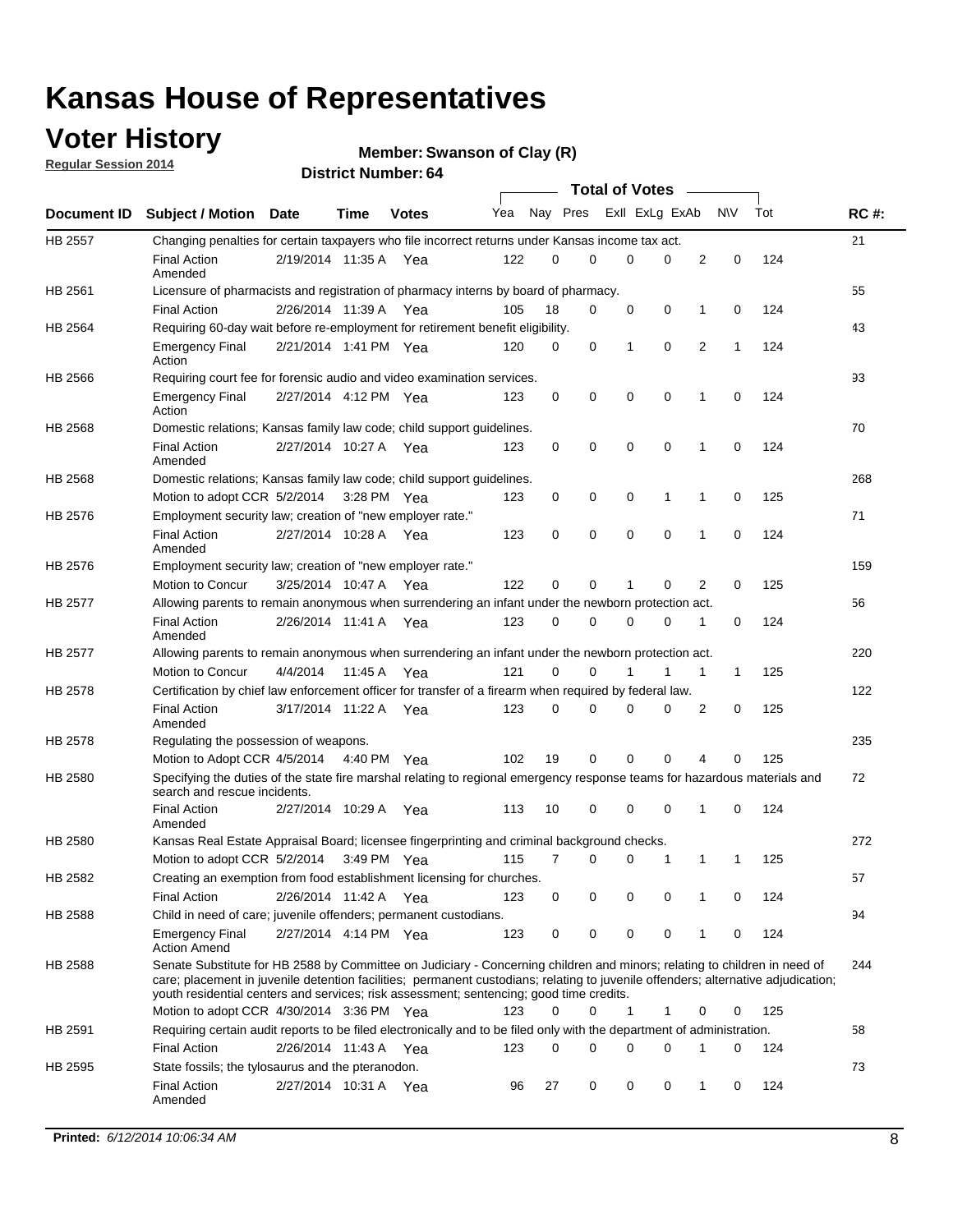## **Voter History**

**Regular Session 2014**

```
Member: Swanson of Clay (R)
```

|             |                                                                                                                                                                                                                                                                                                                                                           |                       |             | <b>DISTRICT NUMBER: 04</b> |     |          |             |              | <b>Total of Votes</b>   | $\sim$         |              |     |             |
|-------------|-----------------------------------------------------------------------------------------------------------------------------------------------------------------------------------------------------------------------------------------------------------------------------------------------------------------------------------------------------------|-----------------------|-------------|----------------------------|-----|----------|-------------|--------------|-------------------------|----------------|--------------|-----|-------------|
| Document ID | <b>Subject / Motion</b>                                                                                                                                                                                                                                                                                                                                   | <b>Date</b>           | Time        | <b>Votes</b>               | Yea |          |             |              | Nay Pres Exll ExLg ExAb |                | <b>NV</b>    | Tot | <b>RC#:</b> |
| HB 2557     | Changing penalties for certain taxpayers who file incorrect returns under Kansas income tax act.                                                                                                                                                                                                                                                          |                       |             |                            |     |          |             |              |                         |                |              |     | 21          |
|             | <b>Final Action</b><br>Amended                                                                                                                                                                                                                                                                                                                            | 2/19/2014 11:35 A Yea |             |                            | 122 | 0        | $\Omega$    | 0            | 0                       | $\overline{2}$ | 0            | 124 |             |
| HB 2561     | Licensure of pharmacists and registration of pharmacy interns by board of pharmacy.                                                                                                                                                                                                                                                                       |                       |             |                            |     |          |             |              |                         |                |              |     | 55          |
|             | <b>Final Action</b>                                                                                                                                                                                                                                                                                                                                       | 2/26/2014 11:39 A     |             | Yea                        | 105 | 18       | 0           | 0            | 0                       | 1              | 0            | 124 |             |
| HB 2564     | Requiring 60-day wait before re-employment for retirement benefit eligibility.                                                                                                                                                                                                                                                                            |                       |             |                            |     |          |             |              |                         |                |              |     | 43          |
|             | <b>Emergency Final</b><br>Action                                                                                                                                                                                                                                                                                                                          | 2/21/2014 1:41 PM Yea |             |                            | 120 | 0        | 0           | $\mathbf{1}$ | $\mathbf 0$             | $\overline{2}$ | $\mathbf{1}$ | 124 |             |
| HB 2566     | Requiring court fee for forensic audio and video examination services.                                                                                                                                                                                                                                                                                    |                       |             |                            |     |          |             |              |                         |                |              |     | 93          |
|             | <b>Emergency Final</b><br>Action                                                                                                                                                                                                                                                                                                                          | 2/27/2014 4:12 PM Yea |             |                            | 123 | 0        | 0           | 0            | 0                       | 1              | 0            | 124 |             |
| HB 2568     | Domestic relations; Kansas family law code; child support guidelines.                                                                                                                                                                                                                                                                                     |                       |             |                            |     |          |             |              |                         |                |              |     | 70          |
|             | <b>Final Action</b><br>Amended                                                                                                                                                                                                                                                                                                                            | 2/27/2014 10:27 A Yea |             |                            | 123 | 0        | 0           | $\mathbf 0$  | $\mathbf 0$             | 1              | $\Omega$     | 124 |             |
| HB 2568     | Domestic relations; Kansas family law code; child support guidelines.                                                                                                                                                                                                                                                                                     |                       |             |                            |     |          |             |              |                         |                |              |     | 268         |
|             | Motion to adopt CCR 5/2/2014                                                                                                                                                                                                                                                                                                                              |                       | 3:28 PM Yea |                            | 123 | 0        | 0           | 0            | 1                       | 1              | 0            | 125 |             |
| HB 2576     | Employment security law; creation of "new employer rate."                                                                                                                                                                                                                                                                                                 |                       |             |                            |     |          |             |              |                         |                |              |     | 71          |
|             | <b>Final Action</b><br>Amended                                                                                                                                                                                                                                                                                                                            | 2/27/2014 10:28 A Yea |             |                            | 123 | 0        | $\mathbf 0$ | $\mathbf 0$  | $\mathbf 0$             | 1              | $\Omega$     | 124 |             |
| HB 2576     | Employment security law; creation of "new employer rate."                                                                                                                                                                                                                                                                                                 |                       |             |                            |     |          |             |              |                         |                |              |     | 159         |
|             | Motion to Concur                                                                                                                                                                                                                                                                                                                                          | 3/25/2014 10:47 A     |             | Yea                        | 122 | $\Omega$ | 0           | 1            | 0                       | $\overline{2}$ | 0            | 125 |             |
| HB 2577     | Allowing parents to remain anonymous when surrendering an infant under the newborn protection act.                                                                                                                                                                                                                                                        |                       |             |                            |     |          |             |              |                         |                |              |     | 56          |
|             | <b>Final Action</b><br>Amended                                                                                                                                                                                                                                                                                                                            | 2/26/2014 11:41 A     |             | Yea                        | 123 | 0        | 0           | 0            | 0                       | 1              | 0            | 124 |             |
| HB 2577     | Allowing parents to remain anonymous when surrendering an infant under the newborn protection act.                                                                                                                                                                                                                                                        |                       |             |                            |     |          |             |              |                         |                |              |     | 220         |
|             | <b>Motion to Concur</b>                                                                                                                                                                                                                                                                                                                                   | 4/4/2014              | 11:45 A     | Yea                        | 121 | $\Omega$ | 0           | 1            | 1                       | 1              | 1            | 125 |             |
| HB 2578     | Certification by chief law enforcement officer for transfer of a firearm when required by federal law.                                                                                                                                                                                                                                                    |                       |             |                            |     |          |             |              |                         |                |              |     | 122         |
|             | <b>Final Action</b><br>Amended                                                                                                                                                                                                                                                                                                                            | 3/17/2014 11:22 A Yea |             |                            | 123 | 0        | 0           | 0            | 0                       | 2              | 0            | 125 |             |
| HB 2578     | Regulating the possession of weapons.                                                                                                                                                                                                                                                                                                                     |                       |             |                            |     |          |             |              |                         |                |              |     | 235         |
|             | Motion to Adopt CCR 4/5/2014 4:40 PM Yea                                                                                                                                                                                                                                                                                                                  |                       |             |                            | 102 | 19       | 0           | 0            | 0                       | 4              | 0            | 125 |             |
| HB 2580     | Specifying the duties of the state fire marshal relating to regional emergency response teams for hazardous materials and<br>search and rescue incidents.                                                                                                                                                                                                 |                       |             |                            |     |          |             |              |                         |                |              |     | 72          |
|             | <b>Final Action</b><br>Amended                                                                                                                                                                                                                                                                                                                            | 2/27/2014 10:29 A     |             | Yea                        | 113 | 10       | 0           | 0            | $\Omega$                | 1              | 0            | 124 |             |
| HB 2580     | Kansas Real Estate Appraisal Board; licensee fingerprinting and criminal background checks.                                                                                                                                                                                                                                                               |                       |             |                            |     |          |             |              |                         |                |              |     | 272         |
|             | Motion to adopt CCR 5/2/2014                                                                                                                                                                                                                                                                                                                              |                       |             | 3:49 PM Yea                | 115 | 7        | 0           | 0            | 1                       | 1              | 1            | 125 |             |
| HB 2582     | Creating an exemption from food establishment licensing for churches.                                                                                                                                                                                                                                                                                     |                       |             |                            |     |          |             |              |                         |                |              |     | 57          |
|             | <b>Final Action</b>                                                                                                                                                                                                                                                                                                                                       | 2/26/2014 11:42 A     |             | Yea                        | 123 | 0        | 0           | 0            | 0                       |                | 0            | 124 |             |
| HB 2588     | Child in need of care; juvenile offenders; permanent custodians.                                                                                                                                                                                                                                                                                          |                       |             |                            |     |          |             |              |                         |                |              |     | 94          |
|             | <b>Emergency Final</b><br><b>Action Amend</b>                                                                                                                                                                                                                                                                                                             | 2/27/2014 4:14 PM Yea |             |                            | 123 | 0        | 0           | 0            | 0                       | 1              | 0            | 124 |             |
| HB 2588     | Senate Substitute for HB 2588 by Committee on Judiciary - Concerning children and minors; relating to children in need of<br>care; placement in juvenile detention facilities; permanent custodians; relating to juvenile offenders; alternative adjudication;<br>youth residential centers and services; risk assessment; sentencing; good time credits. |                       |             |                            |     |          |             |              |                         |                |              |     | 244         |
|             | Motion to adopt CCR 4/30/2014 3:36 PM Yea                                                                                                                                                                                                                                                                                                                 |                       |             |                            | 123 | $\Omega$ | 0           | $\mathbf{1}$ | 1                       | 0              | 0            | 125 |             |
| HB 2591     | Requiring certain audit reports to be filed electronically and to be filed only with the department of administration.                                                                                                                                                                                                                                    |                       |             |                            |     |          |             |              |                         |                |              |     | 58          |
|             | <b>Final Action</b>                                                                                                                                                                                                                                                                                                                                       | 2/26/2014 11:43 A Yea |             |                            | 123 | 0        | $\Omega$    | 0            | $\Omega$                | 1              | 0            | 124 |             |
| HB 2595     | State fossils; the tylosaurus and the pteranodon.                                                                                                                                                                                                                                                                                                         |                       |             |                            |     |          |             |              |                         |                |              |     | 73          |
|             | <b>Final Action</b><br>Amended                                                                                                                                                                                                                                                                                                                            | 2/27/2014 10:31 A Yea |             |                            | 96  | 27       | 0           | 0            | 0                       | 1              | 0            | 124 |             |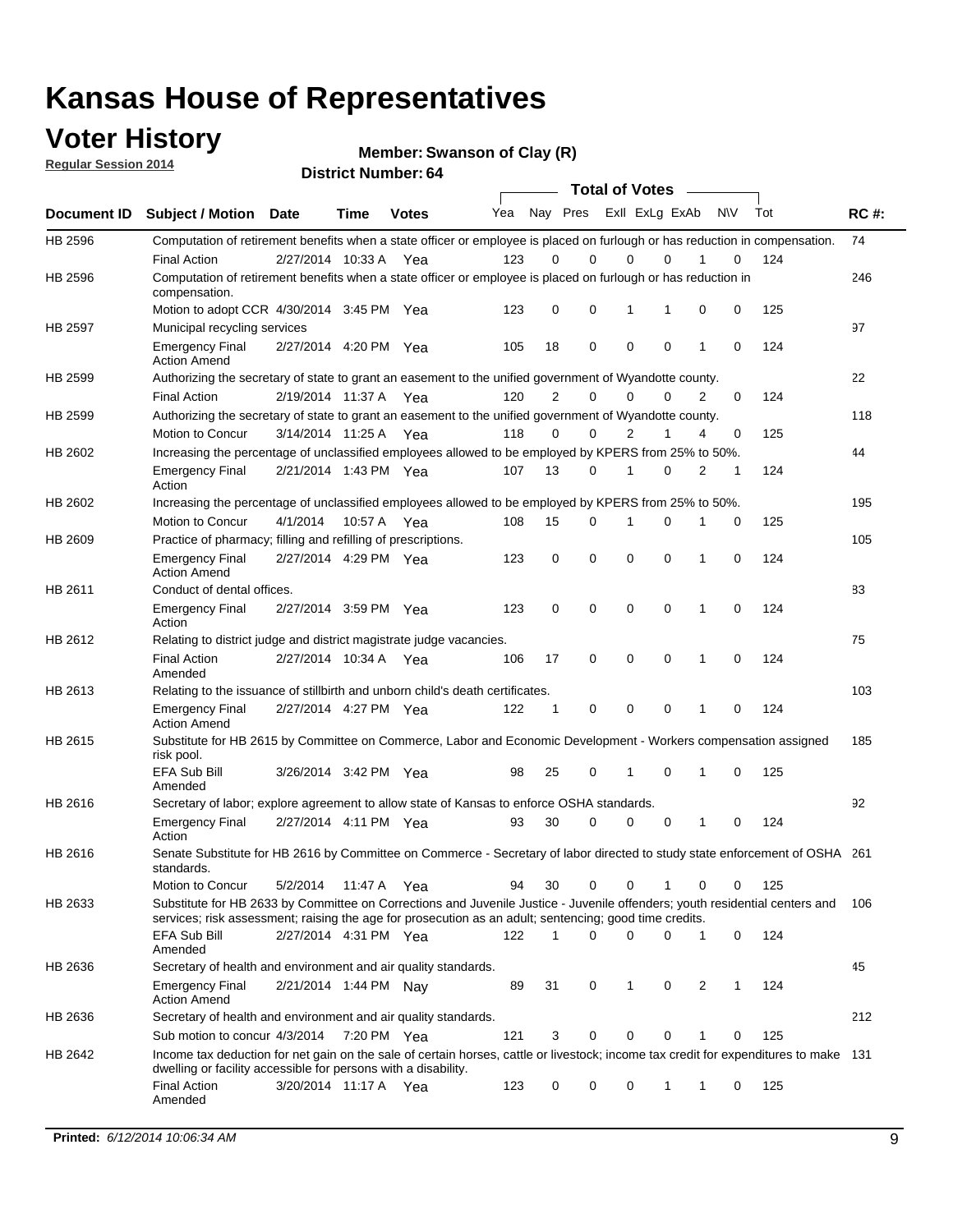### **Voter History**

**Regular Session 2014**

**Member: Swanson of Clay (R)** 

|             |                                                                                                                                                                                                                                       |                       | דט הסעוווטנו וישנו |              |     |                |             | <b>Total of Votes</b>   |             |   |           |     |             |
|-------------|---------------------------------------------------------------------------------------------------------------------------------------------------------------------------------------------------------------------------------------|-----------------------|--------------------|--------------|-----|----------------|-------------|-------------------------|-------------|---|-----------|-----|-------------|
| Document ID | <b>Subject / Motion Date</b>                                                                                                                                                                                                          |                       | Time               | <b>Votes</b> | Yea |                |             | Nay Pres ExII ExLg ExAb |             |   | <b>NV</b> | Tot | <b>RC#:</b> |
| HB 2596     | Computation of retirement benefits when a state officer or employee is placed on furlough or has reduction in compensation.                                                                                                           |                       |                    |              |     |                |             |                         |             |   |           |     | 74          |
|             | <b>Final Action</b>                                                                                                                                                                                                                   | 2/27/2014 10:33 A     |                    | Yea          | 123 | 0              | $\Omega$    | 0                       | 0           |   | 0         | 124 |             |
| HB 2596     | Computation of retirement benefits when a state officer or employee is placed on furlough or has reduction in<br>compensation.                                                                                                        |                       |                    |              |     |                |             |                         |             |   |           |     | 246         |
|             | Motion to adopt CCR 4/30/2014 3:45 PM Yea                                                                                                                                                                                             |                       |                    |              | 123 | 0              | $\mathbf 0$ | 1                       | 1           | 0 | 0         | 125 |             |
| HB 2597     | Municipal recycling services                                                                                                                                                                                                          |                       |                    |              |     |                |             |                         |             |   |           |     | 97          |
|             | <b>Emergency Final</b><br><b>Action Amend</b>                                                                                                                                                                                         | 2/27/2014 4:20 PM Yea |                    |              | 105 | 18             | $\mathbf 0$ | $\mathbf 0$             | $\mathbf 0$ | 1 | 0         | 124 |             |
| HB 2599     | Authorizing the secretary of state to grant an easement to the unified government of Wyandotte county.                                                                                                                                |                       |                    |              |     |                |             |                         |             |   |           |     | 22          |
|             | <b>Final Action</b>                                                                                                                                                                                                                   | 2/19/2014 11:37 A Yea |                    |              | 120 | $\overline{2}$ | 0           | $\mathbf 0$             | 0           | 2 | 0         | 124 |             |
| HB 2599     | Authorizing the secretary of state to grant an easement to the unified government of Wyandotte county.                                                                                                                                |                       |                    |              |     |                |             |                         |             |   |           |     | 118         |
|             | Motion to Concur                                                                                                                                                                                                                      | 3/14/2014 11:25 A Yea |                    |              | 118 | 0              | 0           | $\overline{2}$          | 1           | 4 | 0         | 125 |             |
| HB 2602     | Increasing the percentage of unclassified employees allowed to be employed by KPERS from 25% to 50%.                                                                                                                                  |                       |                    |              |     |                |             |                         |             |   |           |     | 44          |
|             | <b>Emergency Final</b><br>Action                                                                                                                                                                                                      | 2/21/2014 1:43 PM Yea |                    |              | 107 | 13             | 0           | 1                       | 0           | 2 | 1         | 124 |             |
| HB 2602     | Increasing the percentage of unclassified employees allowed to be employed by KPERS from 25% to 50%.                                                                                                                                  |                       |                    |              |     |                |             |                         |             |   |           |     | 195         |
|             | Motion to Concur                                                                                                                                                                                                                      | 4/1/2014              | 10:57 A            | Yea          | 108 | 15             | 0           | 1                       | 0           |   | 0         | 125 |             |
| HB 2609     | Practice of pharmacy; filling and refilling of prescriptions.                                                                                                                                                                         |                       |                    |              |     |                |             |                         |             |   |           |     | 105         |
|             | <b>Emergency Final</b><br><b>Action Amend</b>                                                                                                                                                                                         | 2/27/2014 4:29 PM Yea |                    |              | 123 | 0              | $\mathbf 0$ | $\mathbf 0$             | $\mathbf 0$ | 1 | 0         | 124 |             |
| HB 2611     | Conduct of dental offices.                                                                                                                                                                                                            |                       |                    |              |     |                |             |                         |             |   |           |     | 83          |
|             | <b>Emergency Final</b><br>Action                                                                                                                                                                                                      | 2/27/2014 3:59 PM Yea |                    |              | 123 | 0              | $\mathbf 0$ | $\mathbf 0$             | $\mathbf 0$ | 1 | 0         | 124 |             |
| HB 2612     | Relating to district judge and district magistrate judge vacancies.                                                                                                                                                                   |                       |                    |              |     |                |             |                         |             |   |           |     | 75          |
|             | <b>Final Action</b><br>Amended                                                                                                                                                                                                        | 2/27/2014 10:34 A     |                    | Yea          | 106 | 17             | $\mathbf 0$ | $\mathbf 0$             | $\mathbf 0$ | 1 | 0         | 124 |             |
| HB 2613     | Relating to the issuance of stillbirth and unborn child's death certificates.                                                                                                                                                         |                       |                    |              |     |                |             |                         |             |   |           |     | 103         |
|             | <b>Emergency Final</b><br><b>Action Amend</b>                                                                                                                                                                                         | 2/27/2014 4:27 PM Yea |                    |              | 122 | 1              | 0           | $\mathbf 0$             | $\Omega$    | 1 | 0         | 124 |             |
| HB 2615     | Substitute for HB 2615 by Committee on Commerce, Labor and Economic Development - Workers compensation assigned<br>risk pool.                                                                                                         |                       |                    |              |     |                |             |                         |             |   |           |     | 185         |
|             | EFA Sub Bill<br>Amended                                                                                                                                                                                                               | 3/26/2014 3:42 PM Yea |                    |              | 98  | 25             | 0           | 1                       | 0           | 1 | 0         | 125 |             |
| HB 2616     | Secretary of labor; explore agreement to allow state of Kansas to enforce OSHA standards.                                                                                                                                             |                       |                    |              |     |                |             |                         |             |   |           |     | 92          |
|             | <b>Emergency Final</b><br>Action                                                                                                                                                                                                      | 2/27/2014 4:11 PM Yea |                    |              | 93  | 30             | 0           | 0                       | 0           | 1 | 0         | 124 |             |
| HB 2616     | Senate Substitute for HB 2616 by Committee on Commerce - Secretary of labor directed to study state enforcement of OSHA 261<br>standards.                                                                                             |                       |                    |              |     |                |             |                         |             |   |           |     |             |
|             | Motion to Concur                                                                                                                                                                                                                      | 5/2/2014              | 11:47 A Yea        |              | 94  | 30             | 0           | 0                       | 1           | 0 | 0         | 125 |             |
| HB 2633     | Substitute for HB 2633 by Committee on Corrections and Juvenile Justice - Juvenile offenders; youth residential centers and<br>services; risk assessment; raising the age for prosecution as an adult; sentencing; good time credits. |                       |                    |              |     |                |             |                         |             |   |           |     | 106         |
|             | EFA Sub Bill<br>Amended                                                                                                                                                                                                               | 2/27/2014 4:31 PM Yea |                    |              | 122 | 1              | 0           | 0                       | 0           | 1 | 0         | 124 |             |
| HB 2636     | Secretary of health and environment and air quality standards.                                                                                                                                                                        |                       |                    |              |     |                |             |                         |             |   |           |     | 45          |
|             | <b>Emergency Final</b><br><b>Action Amend</b>                                                                                                                                                                                         | 2/21/2014 1:44 PM Nav |                    |              | 89  | 31             | 0           | 1                       | 0           | 2 | 1         | 124 |             |
| HB 2636     | Secretary of health and environment and air quality standards.                                                                                                                                                                        |                       |                    |              |     |                |             |                         |             |   |           |     | 212         |
|             | Sub motion to concur 4/3/2014                                                                                                                                                                                                         |                       | 7:20 PM Yea        |              | 121 | 3              | 0           | 0                       | 0           | 1 | 0         | 125 |             |
| HB 2642     | Income tax deduction for net gain on the sale of certain horses, cattle or livestock; income tax credit for expenditures to make 131<br>dwelling or facility accessible for persons with a disability.                                |                       |                    |              |     |                |             |                         |             |   |           |     |             |
|             | <b>Final Action</b><br>Amended                                                                                                                                                                                                        | 3/20/2014 11:17 A Yea |                    |              | 123 | 0              | 0           | 0                       | 1           | 1 | 0         | 125 |             |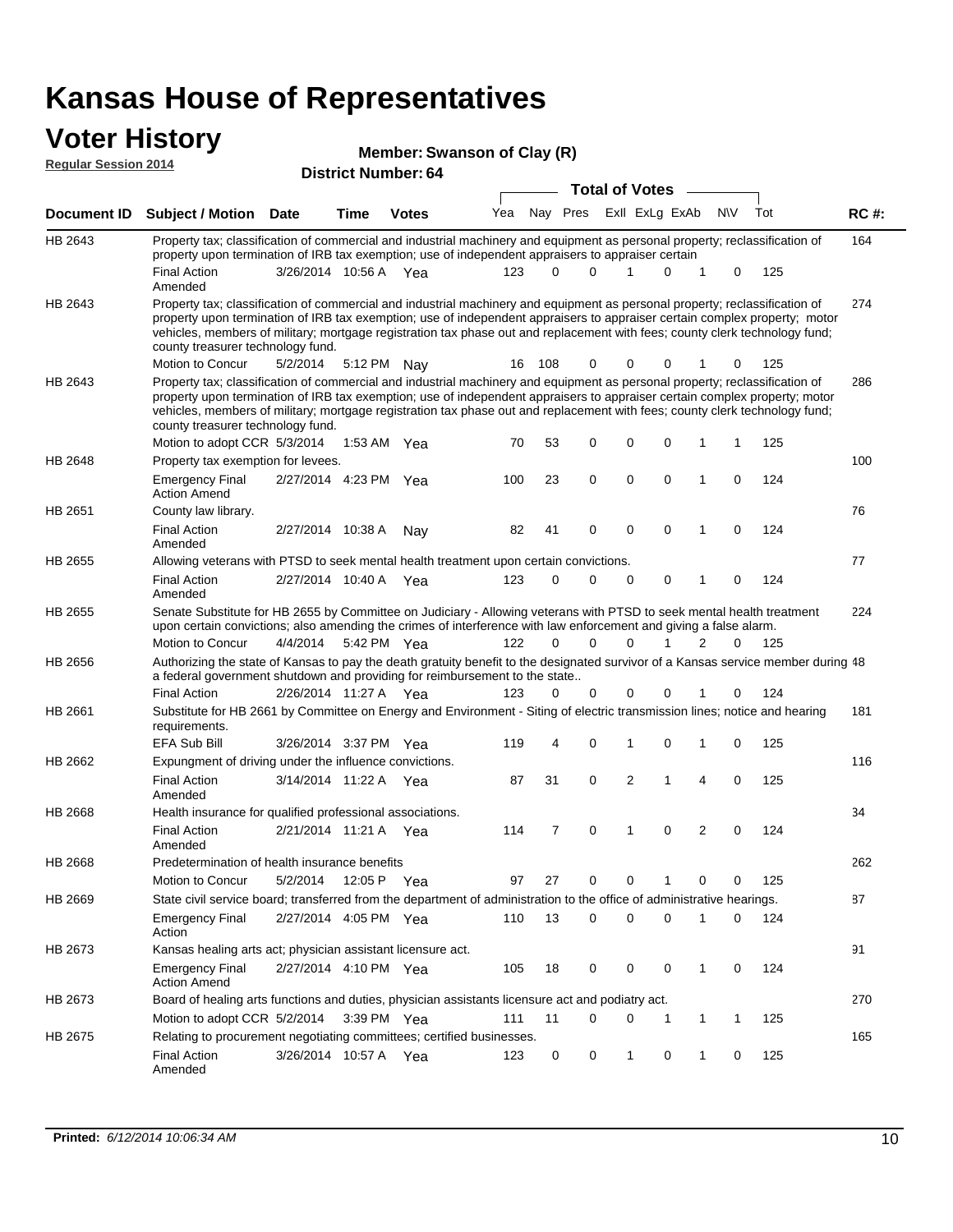#### **Voter History**

| Member: Swanson of Clay (R) |  |
|-----------------------------|--|
|                             |  |

| <b>Regular Session 2014</b> |                                                                                                                                                                                                                                                                                                                                                                                                                               | $\frac{1}{2}$<br><b>District Number: 64</b><br><b>Total of Votes</b> |             |              |     |     |              |  |                |              |           |     |             |
|-----------------------------|-------------------------------------------------------------------------------------------------------------------------------------------------------------------------------------------------------------------------------------------------------------------------------------------------------------------------------------------------------------------------------------------------------------------------------|----------------------------------------------------------------------|-------------|--------------|-----|-----|--------------|--|----------------|--------------|-----------|-----|-------------|
| Document ID                 | <b>Subject / Motion</b>                                                                                                                                                                                                                                                                                                                                                                                                       | <b>Date</b>                                                          | Time        | <b>Votes</b> | Yea | Nav | Pres         |  | Exll ExLg ExAb |              | <b>NV</b> | Tot | <b>RC#:</b> |
| HB 2643                     | Property tax; classification of commercial and industrial machinery and equipment as personal property; reclassification of<br>property upon termination of IRB tax exemption; use of independent appraisers to appraiser certain                                                                                                                                                                                             |                                                                      |             |              |     |     |              |  |                |              |           |     | 164         |
|                             | <b>Final Action</b><br>Amended                                                                                                                                                                                                                                                                                                                                                                                                | 3/26/2014                                                            | 10:56 A     | Yea          | 123 |     | <sup>0</sup> |  |                | <sup>o</sup> | $\Omega$  | 125 |             |
| HB 2643                     | Property tax; classification of commercial and industrial machinery and equipment as personal property; reclassification of<br>property upon termination of IRB tax exemption; use of independent appraisers to appraiser certain complex property; motor<br>vehicles, members of military; mortgage registration tax phase out and replacement with fees; county clerk technology fund;<br>county treasurer technology fund. |                                                                      |             |              |     |     |              |  |                |              |           |     | 274         |
|                             | Motion to Concur                                                                                                                                                                                                                                                                                                                                                                                                              | 5/2/2014                                                             | 5:12 PM Nay |              | 16  | 108 | 0            |  | 0              | $\Omega$     | $\Omega$  | 125 |             |
| HB 2643                     | Property tax; classification of commercial and industrial machinery and equipment as personal property; reclassification of<br>property upon termination of IRB tax exemption; use of independent appraisers to appraiser certain complex property; motor<br>vehicles, members of military; mortgage registration tax phase out and replacement with fees; county clerk technology fund;<br>county treasurer technology fund. |                                                                      |             |              |     |     |              |  |                |              |           |     | 286         |
|                             | Motion to adopt CCR 5/3/2014                                                                                                                                                                                                                                                                                                                                                                                                  |                                                                      | 1:53 AM     | Yea          | 70  | 53  | 0            |  | 0              | $\Omega$     |           | 125 |             |
| <b>HB 2648</b>              | Property tax exemption for levees.                                                                                                                                                                                                                                                                                                                                                                                            |                                                                      |             |              |     |     |              |  |                |              |           |     | 100         |
|                             | <b>Emergency Final</b>                                                                                                                                                                                                                                                                                                                                                                                                        | 2/27/2014 4:23 PM                                                    |             | Yea          | 100 | 23  | 0            |  | 0              | 0            |           | 124 |             |

|                | <b>Action Amend</b>                                                                                                                                                                                                                        |                       |             |     |     |                |             |          |          |   |             |     |     |
|----------------|--------------------------------------------------------------------------------------------------------------------------------------------------------------------------------------------------------------------------------------------|-----------------------|-------------|-----|-----|----------------|-------------|----------|----------|---|-------------|-----|-----|
| HB 2651        | County law library.                                                                                                                                                                                                                        |                       |             |     |     |                |             |          |          |   |             |     | 76  |
|                | <b>Final Action</b><br>Amended                                                                                                                                                                                                             | 2/27/2014 10:38 A     |             | Nav | 82  | 41             | 0           | 0        | 0        | 1 | 0           | 124 |     |
| HB 2655        | Allowing veterans with PTSD to seek mental health treatment upon certain convictions.                                                                                                                                                      |                       |             |     |     |                |             |          |          |   |             |     | 77  |
|                | <b>Final Action</b><br>Amended                                                                                                                                                                                                             | 2/27/2014 10:40 A     |             | Yea | 123 | 0              | 0           | 0        | 0        | 1 | 0           | 124 |     |
| HB 2655        | Senate Substitute for HB 2655 by Committee on Judiciary - Allowing veterans with PTSD to seek mental health treatment<br>upon certain convictions; also amending the crimes of interference with law enforcement and giving a false alarm. |                       |             |     |     |                |             |          |          |   |             |     | 224 |
|                | Motion to Concur                                                                                                                                                                                                                           | 4/4/2014              | 5:42 PM Yea |     | 122 | 0              | $\Omega$    |          |          | 2 | 0           | 125 |     |
| HB 2656        | Authorizing the state of Kansas to pay the death gratuity benefit to the designated survivor of a Kansas service member during 48<br>a federal government shutdown and providing for reimbursement to the state                            |                       |             |     |     |                |             |          |          |   |             |     |     |
|                | <b>Final Action</b>                                                                                                                                                                                                                        | 2/26/2014 11:27 A Yea |             |     | 123 | $\Omega$       | 0           | 0        | 0        |   | 0           | 124 |     |
| HB 2661        | Substitute for HB 2661 by Committee on Energy and Environment - Siting of electric transmission lines; notice and hearing<br>requirements.                                                                                                 |                       |             |     |     |                |             |          |          |   |             |     | 181 |
|                | <b>EFA Sub Bill</b>                                                                                                                                                                                                                        | 3/26/2014 3:37 PM Yea |             |     | 119 | 4              | 0           |          | 0        |   | $\Omega$    | 125 |     |
| HB 2662        | Expungment of driving under the influence convictions.                                                                                                                                                                                     |                       |             |     |     |                |             |          |          |   |             |     | 116 |
|                | <b>Final Action</b><br>Amended                                                                                                                                                                                                             | 3/14/2014 11:22 A Yea |             |     | 87  | 31             | $\mathbf 0$ | 2        | 1        | 4 | $\mathbf 0$ | 125 |     |
| HB 2668        | Health insurance for qualified professional associations.                                                                                                                                                                                  |                       |             |     |     |                |             |          |          |   |             |     | 34  |
|                | <b>Final Action</b><br>Amended                                                                                                                                                                                                             | 2/21/2014 11:21 A Yea |             |     | 114 | $\overline{7}$ | 0           | 1        | $\Omega$ | 2 | $\Omega$    | 124 |     |
| HB 2668        | Predetermination of health insurance benefits                                                                                                                                                                                              |                       |             |     |     |                |             |          |          |   |             |     | 262 |
|                | Motion to Concur                                                                                                                                                                                                                           | 5/2/2014              | 12:05 P Yea |     | 97  | 27             | 0           | $\Omega$ |          | 0 | 0           | 125 |     |
| HB 2669        | State civil service board; transferred from the department of administration to the office of administrative hearings.                                                                                                                     |                       |             |     |     |                |             |          |          |   |             |     | 87  |
|                | <b>Emergency Final</b><br>Action                                                                                                                                                                                                           | 2/27/2014 4:05 PM Yea |             |     | 110 | 13             | 0           | 0        | 0        |   | 0           | 124 |     |
| HB 2673        | Kansas healing arts act; physician assistant licensure act.                                                                                                                                                                                |                       |             |     |     |                |             |          |          |   |             |     | 91  |
|                | <b>Emergency Final</b><br><b>Action Amend</b>                                                                                                                                                                                              | 2/27/2014 4:10 PM Yea |             |     | 105 | 18             | $\Omega$    | $\Omega$ | $\Omega$ | 1 | $\Omega$    | 124 |     |
| HB 2673        | Board of healing arts functions and duties, physician assistants licensure act and podiatry act.                                                                                                                                           |                       |             |     |     |                |             |          |          |   |             |     | 270 |
|                | Motion to adopt CCR 5/2/2014                                                                                                                                                                                                               |                       | 3:39 PM Yea |     | 111 | 11             | 0           | $\Omega$ | 1        | 1 | 1           | 125 |     |
| <b>HB 2675</b> | Relating to procurement negotiating committees; certified businesses.                                                                                                                                                                      |                       |             |     |     |                |             |          |          |   |             |     | 165 |
|                | <b>Final Action</b>                                                                                                                                                                                                                        | 3/26/2014 10:57 A     |             | Yea | 123 | 0              | 0           | 1        | 0        | 1 | 0           | 125 |     |

Amended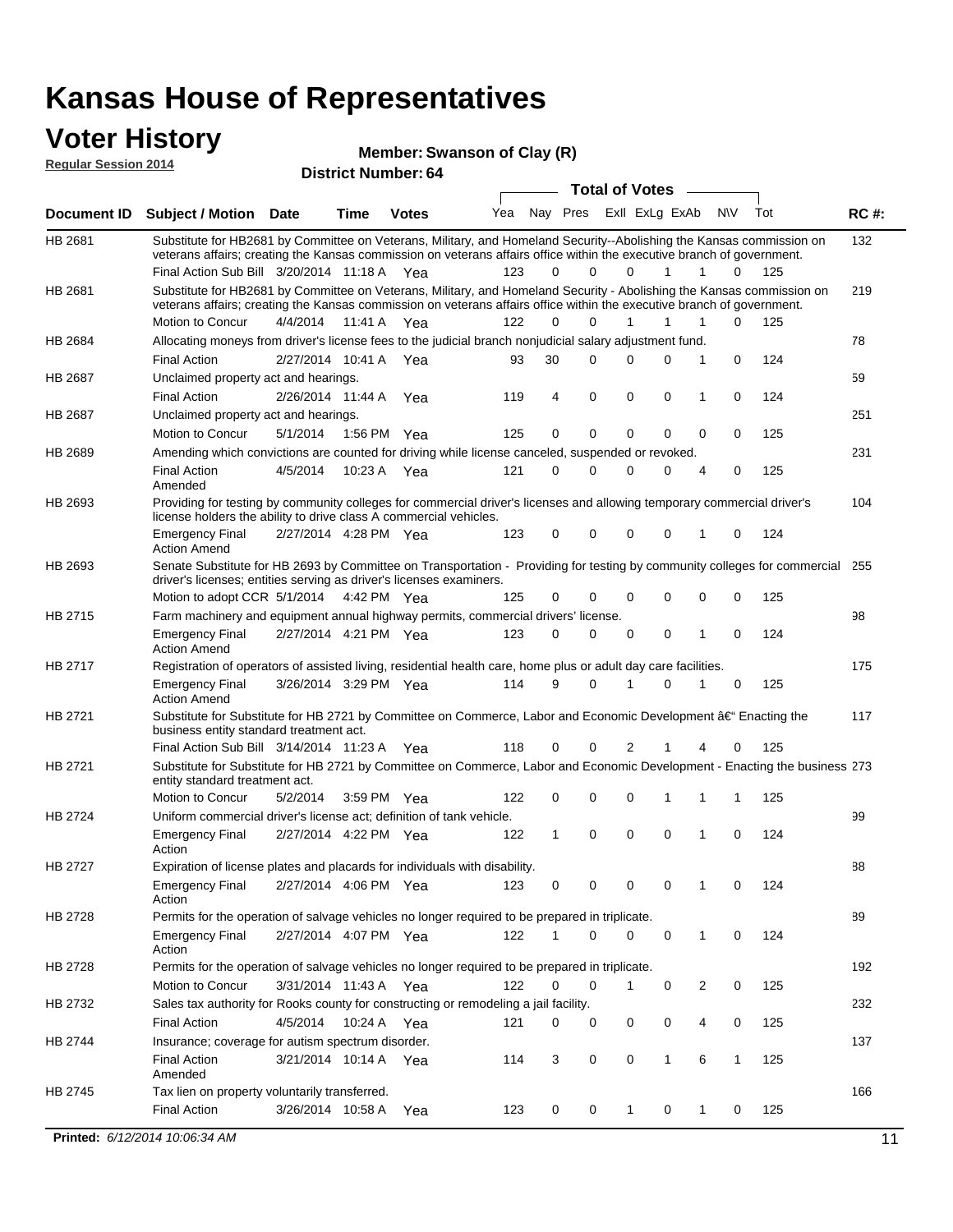#### **Voter History Regular Session 2014**

**Member: Swanson of Clay (R)** 

| nuyurur Uuddiun Luin |                                                                                                                                                                                                                                                                                               |                       |         | <b>District Number: 64</b> |     |             |             |                       |                |                  |     |             |
|----------------------|-----------------------------------------------------------------------------------------------------------------------------------------------------------------------------------------------------------------------------------------------------------------------------------------------|-----------------------|---------|----------------------------|-----|-------------|-------------|-----------------------|----------------|------------------|-----|-------------|
|                      |                                                                                                                                                                                                                                                                                               |                       |         |                            |     |             |             | <b>Total of Votes</b> |                |                  |     |             |
| <b>Document ID</b>   | <b>Subject / Motion Date</b>                                                                                                                                                                                                                                                                  |                       | Time    | <b>Votes</b>               | Yea |             | Nay Pres    |                       | ExII ExLg ExAb | N\V              | Tot | <b>RC#:</b> |
| HB 2681              | Substitute for HB2681 by Committee on Veterans, Military, and Homeland Security--Abolishing the Kansas commission on<br>veterans affairs; creating the Kansas commission on veterans affairs office within the executive branch of government.<br>Final Action Sub Bill 3/20/2014 11:18 A Yea |                       |         |                            | 123 | 0           | $\Omega$    | 0                     | 1              | 1<br>0           | 125 | 132         |
|                      |                                                                                                                                                                                                                                                                                               |                       |         |                            |     |             |             |                       |                |                  |     |             |
| HB 2681              | Substitute for HB2681 by Committee on Veterans, Military, and Homeland Security - Abolishing the Kansas commission on<br>veterans affairs; creating the Kansas commission on veterans affairs office within the executive branch of government.                                               |                       |         |                            |     |             |             |                       |                |                  |     | 219         |
|                      | Motion to Concur                                                                                                                                                                                                                                                                              | 4/4/2014              | 11:41 A | Yea                        | 122 | $\Omega$    | 0           | $\mathbf{1}$          | 1              | 1<br>0           | 125 |             |
| HB 2684              | Allocating moneys from driver's license fees to the judicial branch nonjudicial salary adjustment fund.                                                                                                                                                                                       |                       |         |                            |     |             |             |                       |                |                  |     | 78          |
|                      | <b>Final Action</b>                                                                                                                                                                                                                                                                           | 2/27/2014 10:41 A     |         | Yea                        | 93  | 30          | $\Omega$    | $\Omega$              | 0              | 1<br>0           | 124 |             |
| HB 2687              | Unclaimed property act and hearings.                                                                                                                                                                                                                                                          |                       |         |                            |     |             |             |                       |                |                  |     | 59          |
|                      | <b>Final Action</b>                                                                                                                                                                                                                                                                           | 2/26/2014 11:44 A     |         | Yea                        | 119 | 4           | $\mathbf 0$ | 0                     | 0              | 0<br>1           | 124 |             |
| HB 2687              | Unclaimed property act and hearings.                                                                                                                                                                                                                                                          |                       |         |                            |     |             |             |                       |                |                  |     | 251         |
|                      | Motion to Concur                                                                                                                                                                                                                                                                              | 5/1/2014              | 1:56 PM | Yea                        | 125 | 0           | $\mathbf 0$ | 0                     | 0              | 0<br>0           | 125 |             |
| HB 2689              | Amending which convictions are counted for driving while license canceled, suspended or revoked.                                                                                                                                                                                              |                       |         |                            |     |             |             |                       |                |                  |     | 231         |
|                      | <b>Final Action</b><br>Amended                                                                                                                                                                                                                                                                | 4/5/2014              | 10:23 A | Yea                        | 121 | $\mathbf 0$ | $\Omega$    | $\Omega$              | 0              | 0<br>4           | 125 |             |
| HB 2693              | Providing for testing by community colleges for commercial driver's licenses and allowing temporary commercial driver's<br>license holders the ability to drive class A commercial vehicles.                                                                                                  |                       |         |                            |     |             |             |                       |                |                  |     | 104         |
|                      | <b>Emergency Final</b><br><b>Action Amend</b>                                                                                                                                                                                                                                                 | 2/27/2014 4:28 PM Yea |         |                            | 123 | 0           | 0           | $\Omega$              | 0              | $\mathbf 0$<br>1 | 124 |             |
| HB 2693              | Senate Substitute for HB 2693 by Committee on Transportation - Providing for testing by community colleges for commercial<br>driver's licenses; entities serving as driver's licenses examiners.                                                                                              |                       |         |                            |     |             |             |                       |                |                  |     | 255         |
|                      | Motion to adopt CCR 5/1/2014 4:42 PM Yea                                                                                                                                                                                                                                                      |                       |         |                            | 125 | 0           | 0           | $\Omega$              | 0              | 0<br>0           | 125 |             |
| HB 2715              | Farm machinery and equipment annual highway permits, commercial drivers' license.                                                                                                                                                                                                             |                       |         |                            |     |             |             |                       |                |                  |     | 98          |
|                      | <b>Emergency Final</b><br><b>Action Amend</b>                                                                                                                                                                                                                                                 | 2/27/2014 4:21 PM Yea |         |                            | 123 | 0           | 0           | 0                     | 0              | 1<br>0           | 124 |             |
| HB 2717              | Registration of operators of assisted living, residential health care, home plus or adult day care facilities.                                                                                                                                                                                |                       |         |                            |     |             |             |                       |                |                  |     | 175         |
|                      | <b>Emergency Final</b><br><b>Action Amend</b>                                                                                                                                                                                                                                                 | 3/26/2014 3:29 PM Yea |         |                            | 114 | 9           | 0           |                       | $\Omega$       | 0                | 125 |             |
| HB 2721              | Substitute for Substitute for HB 2721 by Committee on Commerce, Labor and Economic Development †Enacting the<br>business entity standard treatment act.                                                                                                                                       |                       |         |                            |     |             |             |                       |                |                  |     | 117         |
|                      | Final Action Sub Bill 3/14/2014 11:23 A Yea                                                                                                                                                                                                                                                   |                       |         |                            | 118 | 0           | 0           | 2                     |                | 0<br>4           | 125 |             |
| HB 2721              | Substitute for Substitute for HB 2721 by Committee on Commerce, Labor and Economic Development - Enacting the business 273<br>entity standard treatment act.                                                                                                                                  |                       |         |                            |     |             |             |                       |                |                  |     |             |
|                      | Motion to Concur                                                                                                                                                                                                                                                                              | 5/2/2014              |         | 3:59 PM Yea                | 122 | 0           | 0           | $\Omega$              | 1              | 1<br>1           | 125 |             |
| HB 2724              | Uniform commercial driver's license act; definition of tank vehicle.<br><b>Emergency Final</b>                                                                                                                                                                                                | 2/27/2014 4:22 PM Yea |         |                            | 122 | 1           | 0           | 0                     | 0              | 1<br>0           | 124 | 99          |
|                      | Action                                                                                                                                                                                                                                                                                        |                       |         |                            |     |             |             |                       |                |                  |     |             |
| HB 2727              | Expiration of license plates and placards for individuals with disability.<br><b>Emergency Final</b>                                                                                                                                                                                          | 2/27/2014 4:06 PM Yea |         |                            | 123 | 0           | 0           | 0                     | 0              | 0                | 124 | 88          |
|                      | Action                                                                                                                                                                                                                                                                                        |                       |         |                            |     |             |             |                       |                |                  |     |             |
| HB 2728              | Permits for the operation of salvage vehicles no longer required to be prepared in triplicate.                                                                                                                                                                                                |                       |         |                            |     |             |             |                       |                |                  |     | 89          |
|                      | <b>Emergency Final</b><br>Action                                                                                                                                                                                                                                                              | 2/27/2014 4:07 PM Yea |         |                            | 122 | 1           | 0           | $\Omega$              | 0              | 1<br>0           | 124 |             |
| HB 2728              | Permits for the operation of salvage vehicles no longer required to be prepared in triplicate.                                                                                                                                                                                                |                       |         |                            |     |             |             |                       |                |                  |     | 192         |
|                      | Motion to Concur                                                                                                                                                                                                                                                                              | 3/31/2014 11:43 A Yea |         |                            | 122 | 0           | 0           | 1                     | 0              | 2<br>0           | 125 |             |
| HB 2732              | Sales tax authority for Rooks county for constructing or remodeling a jail facility.                                                                                                                                                                                                          |                       |         |                            |     |             |             |                       |                |                  |     | 232         |
|                      | <b>Final Action</b>                                                                                                                                                                                                                                                                           | 4/5/2014              |         | 10:24 A Yea                | 121 | 0           | 0           | 0                     | 0              | 4<br>0           | 125 |             |
| HB 2744              | Insurance; coverage for autism spectrum disorder.                                                                                                                                                                                                                                             |                       |         |                            |     |             |             |                       |                |                  |     | 137         |
|                      | <b>Final Action</b><br>Amended                                                                                                                                                                                                                                                                | 3/21/2014 10:14 A Yea |         |                            | 114 | 3           | 0           | 0                     | $\mathbf{1}$   | 6<br>1           | 125 |             |
|                      |                                                                                                                                                                                                                                                                                               |                       |         |                            |     |             |             |                       |                |                  |     |             |
| HB 2745              | Tax lien on property voluntarily transferred.                                                                                                                                                                                                                                                 |                       |         |                            |     |             |             |                       |                |                  |     | 166         |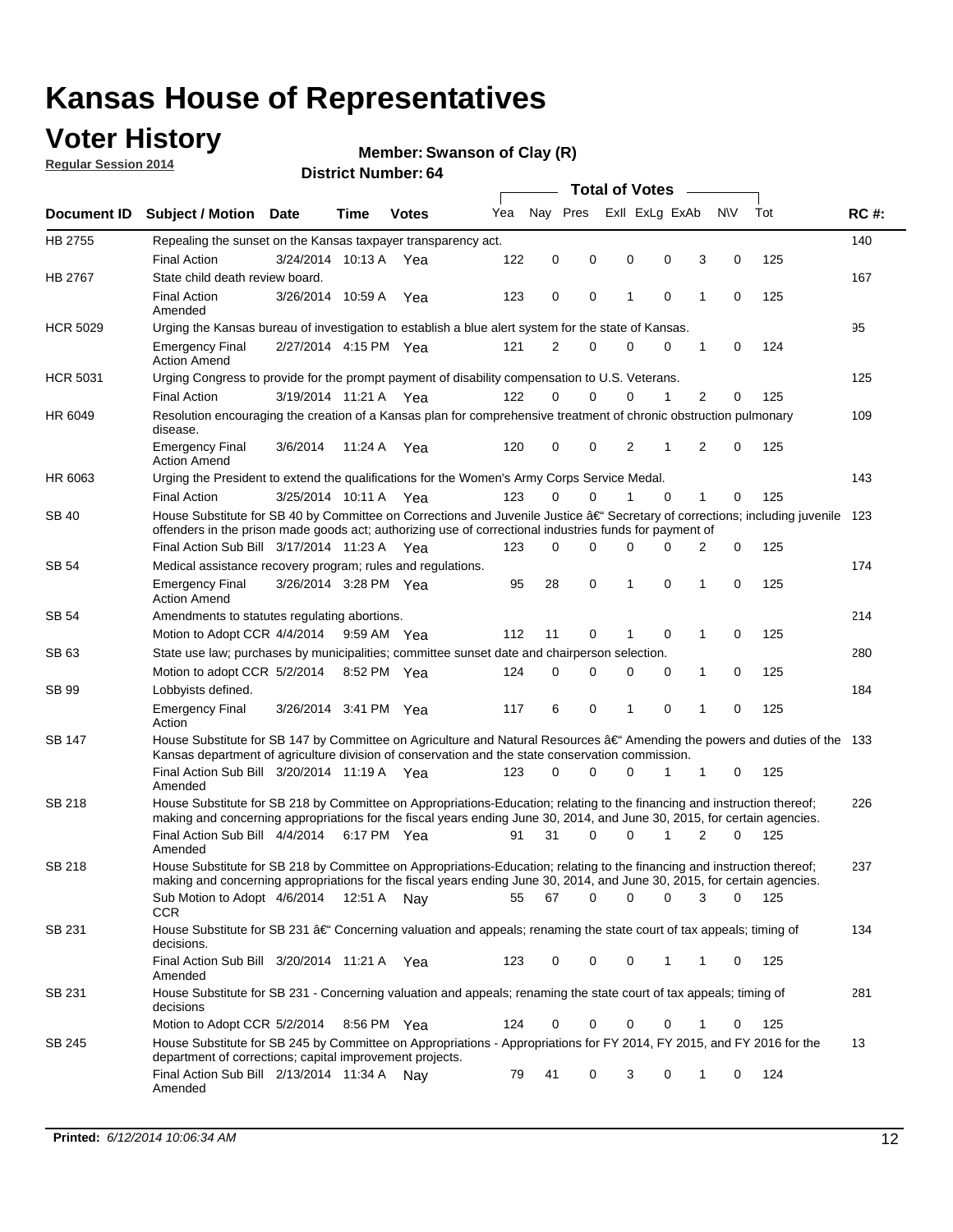## **Voter History**

**Regular Session 2014**

#### **Member: Swanson of Clay (R)**

|                 |                                                                                                                                                                                                                                      |                       |             |              |     |             |             |   | <b>Total of Votes</b> |             |   |             |     |             |
|-----------------|--------------------------------------------------------------------------------------------------------------------------------------------------------------------------------------------------------------------------------------|-----------------------|-------------|--------------|-----|-------------|-------------|---|-----------------------|-------------|---|-------------|-----|-------------|
| Document ID     | <b>Subject / Motion Date</b>                                                                                                                                                                                                         |                       | Time        | <b>Votes</b> | Yea | Nay Pres    |             |   | Exll ExLg ExAb        |             |   | <b>NV</b>   | Tot | <b>RC#:</b> |
| HB 2755         | Repealing the sunset on the Kansas taxpayer transparency act.                                                                                                                                                                        |                       |             |              |     |             |             |   |                       |             |   |             |     | 140         |
|                 | <b>Final Action</b>                                                                                                                                                                                                                  | 3/24/2014 10:13 A     |             | Yea          | 122 | $\mathbf 0$ | 0           | 0 |                       | 0           | 3 | 0           | 125 |             |
| HB 2767         | State child death review board.                                                                                                                                                                                                      |                       |             |              |     |             |             |   |                       |             |   |             |     | 167         |
|                 | <b>Final Action</b><br>Amended                                                                                                                                                                                                       | 3/26/2014 10:59 A     |             | Yea          | 123 | 0           | 0           | 1 |                       | 0           | 1 | $\mathbf 0$ | 125 |             |
| <b>HCR 5029</b> | Urging the Kansas bureau of investigation to establish a blue alert system for the state of Kansas.                                                                                                                                  |                       |             |              |     |             |             |   |                       |             |   |             |     | 95          |
|                 | <b>Emergency Final</b><br><b>Action Amend</b>                                                                                                                                                                                        | 2/27/2014 4:15 PM Yea |             |              | 121 | 2           | 0           | 0 |                       | 0           | 1 | 0           | 124 |             |
| <b>HCR 5031</b> | Urging Congress to provide for the prompt payment of disability compensation to U.S. Veterans.                                                                                                                                       |                       |             |              |     |             |             |   |                       |             |   |             |     | 125         |
|                 | <b>Final Action</b>                                                                                                                                                                                                                  | 3/19/2014 11:21 A Yea |             |              | 122 | $\Omega$    | $\Omega$    | 0 |                       | 1           | 2 | 0           | 125 |             |
| HR 6049         | Resolution encouraging the creation of a Kansas plan for comprehensive treatment of chronic obstruction pulmonary<br>disease.                                                                                                        |                       |             |              |     |             |             |   |                       |             |   |             |     | 109         |
|                 | <b>Emergency Final</b><br><b>Action Amend</b>                                                                                                                                                                                        | 3/6/2014              | 11:24 A     | Yea          | 120 | $\mathbf 0$ | 0           | 2 |                       | 1           | 2 | $\mathbf 0$ | 125 |             |
| HR 6063         | Urging the President to extend the qualifications for the Women's Army Corps Service Medal.                                                                                                                                          |                       |             |              |     |             |             |   |                       |             |   |             |     | 143         |
|                 | <b>Final Action</b>                                                                                                                                                                                                                  | 3/25/2014 10:11 A Yea |             |              | 123 | $\Omega$    | $\Omega$    | 1 |                       | $\Omega$    | 1 | 0           | 125 |             |
| SB 40           | House Substitute for SB 40 by Committee on Corrections and Juvenile Justice †Secretary of corrections; including juvenile<br>offenders in the prison made goods act; authorizing use of correctional industries funds for payment of |                       |             |              |     |             |             |   |                       |             |   |             |     | 123         |
|                 | Final Action Sub Bill 3/17/2014 11:23 A Yea                                                                                                                                                                                          |                       |             |              | 123 | $\Omega$    | 0           | 0 |                       | 0           | 2 | 0           | 125 |             |
| SB 54           | Medical assistance recovery program; rules and regulations.                                                                                                                                                                          |                       |             |              |     |             |             |   |                       |             |   |             |     | 174         |
|                 | <b>Emergency Final</b><br><b>Action Amend</b>                                                                                                                                                                                        | 3/26/2014 3:28 PM Yea |             |              | 95  | 28          | 0           | 1 |                       | $\mathbf 0$ | 1 | $\mathbf 0$ | 125 |             |
| <b>SB 54</b>    | Amendments to statutes regulating abortions.                                                                                                                                                                                         |                       |             |              |     |             |             |   |                       |             |   |             |     | 214         |
|                 | Motion to Adopt CCR 4/4/2014                                                                                                                                                                                                         |                       | 9:59 AM Yea |              | 112 | 11          | 0           | 1 |                       | 0           | 1 | 0           | 125 |             |
| SB 63           | State use law; purchases by municipalities; committee sunset date and chairperson selection.                                                                                                                                         |                       |             |              |     |             |             |   |                       |             |   |             |     | 280         |
|                 | Motion to adopt CCR 5/2/2014                                                                                                                                                                                                         |                       | 8:52 PM Yea |              | 124 | $\mathbf 0$ | 0           | 0 |                       | 0           | 1 | 0           | 125 |             |
| <b>SB 99</b>    | Lobbyists defined.                                                                                                                                                                                                                   |                       |             |              |     |             |             |   |                       |             |   |             |     | 184         |
|                 | <b>Emergency Final</b><br>Action                                                                                                                                                                                                     | 3/26/2014 3:41 PM Yea |             |              | 117 | 6           | 0           | 1 |                       | 0           | 1 | $\mathbf 0$ | 125 |             |
| SB 147          | House Substitute for SB 147 by Committee on Agriculture and Natural Resources †Amending the powers and duties of the 133<br>Kansas department of agriculture division of conservation and the state conservation commission.         |                       |             |              |     |             |             |   |                       |             |   |             |     |             |
|                 | Final Action Sub Bill 3/20/2014 11:19 A Yea<br>Amended                                                                                                                                                                               |                       |             |              | 123 | 0           | 0           | 0 |                       | 1           | 1 | 0           | 125 |             |
| <b>SB 218</b>   | House Substitute for SB 218 by Committee on Appropriations-Education; relating to the financing and instruction thereof;                                                                                                             |                       |             |              |     |             |             |   |                       |             |   |             |     | 226         |
|                 | making and concerning appropriations for the fiscal years ending June 30, 2014, and June 30, 2015, for certain agencies.<br>Final Action Sub Bill 4/4/2014                                                                           |                       | 6:17 PM Yea |              | 91  | 31          | 0           | 0 |                       | 1           | 2 | $\Omega$    | 125 |             |
|                 | Amended                                                                                                                                                                                                                              |                       |             |              |     |             |             |   |                       |             |   |             |     |             |
| <b>SB 218</b>   | House Substitute for SB 218 by Committee on Appropriations-Education; relating to the financing and instruction thereof;                                                                                                             |                       |             |              |     |             |             |   |                       |             |   |             |     | 237         |
|                 | making and concerning appropriations for the fiscal years ending June 30, 2014, and June 30, 2015, for certain agencies.                                                                                                             |                       |             |              |     |             |             |   |                       |             |   |             |     |             |
|                 | Sub Motion to Adopt 4/6/2014 12:51 A Nay<br><b>CCR</b>                                                                                                                                                                               |                       |             |              | 55  | 67          | $\mathbf 0$ | 0 |                       | 0           | 3 | 0           | 125 |             |
| SB 231          | House Substitute for SB 231 †Concerning valuation and appeals; renaming the state court of tax appeals; timing of<br>decisions.                                                                                                      |                       |             |              |     |             |             |   |                       |             |   |             |     | 134         |
|                 | Final Action Sub Bill 3/20/2014 11:21 A Yea<br>Amended                                                                                                                                                                               |                       |             |              | 123 | 0           | 0           | 0 |                       | 1           | 1 | 0           | 125 |             |
| SB 231          | House Substitute for SB 231 - Concerning valuation and appeals; renaming the state court of tax appeals; timing of<br>decisions                                                                                                      |                       |             |              |     |             |             |   |                       |             |   |             |     | 281         |
|                 | Motion to Adopt CCR 5/2/2014 8:56 PM Yea                                                                                                                                                                                             |                       |             |              | 124 | 0           | 0           | 0 |                       | 0           | 1 | 0           | 125 |             |
| SB 245          | House Substitute for SB 245 by Committee on Appropriations - Appropriations for FY 2014, FY 2015, and FY 2016 for the<br>department of corrections; capital improvement projects.                                                    |                       |             |              |     |             |             |   |                       |             |   |             |     | 13          |
|                 | Final Action Sub Bill 2/13/2014 11:34 A<br>Amended                                                                                                                                                                                   |                       |             | Nav          | 79  | 41          | 0           | 3 |                       | $\mathbf 0$ | 1 | 0           | 124 |             |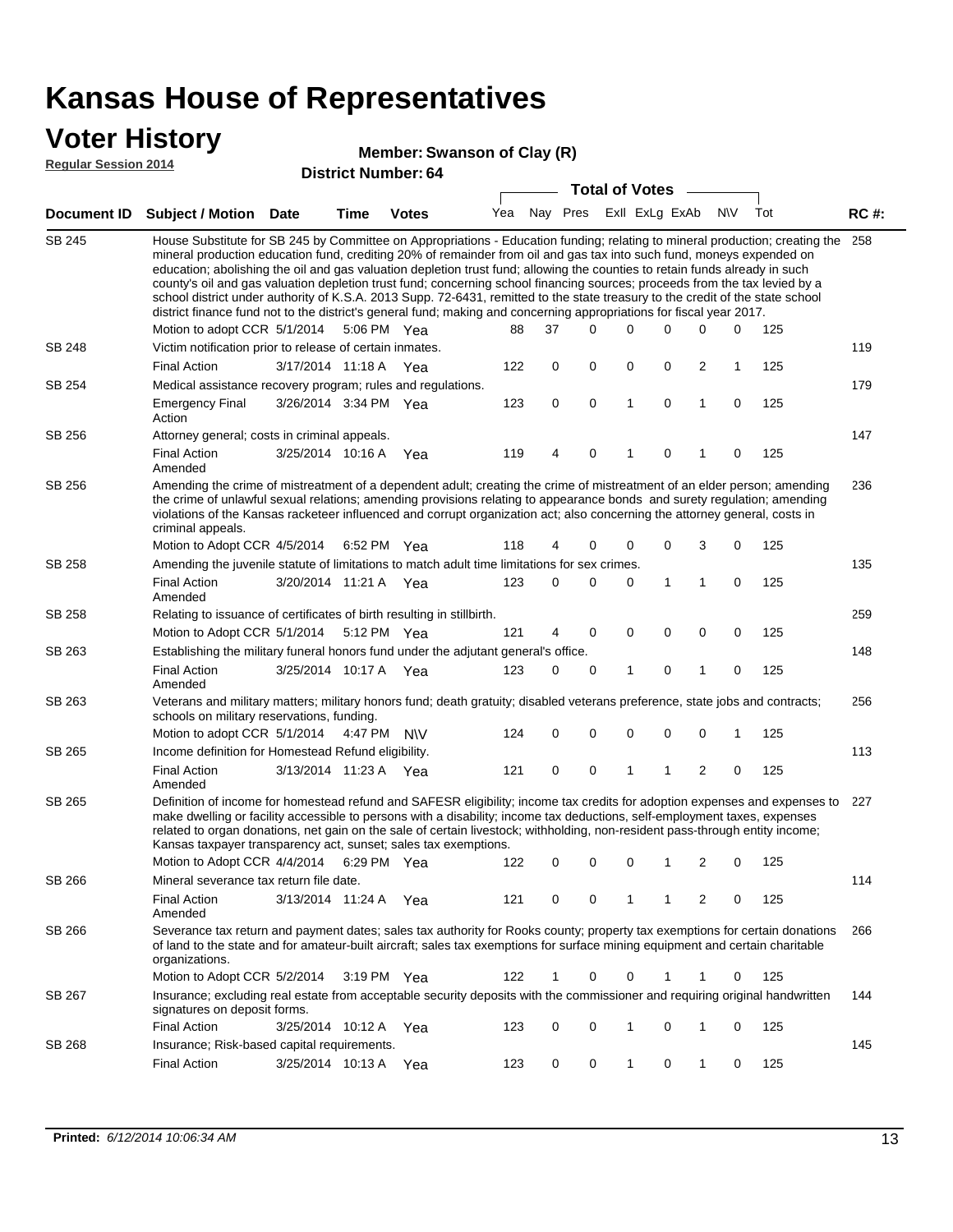### **Voter History**

#### **Member: Swanson of Clay (R)**

**Regular Session 2014**

|                    |                                                                                                                                                                                                                                                                                                                                                                                                                                                                                                                                                                                                                                                                                                                                                                                                               |                       |             | דיט ויסטוווטרו. די טיי |     |    | <b>Total of Votes</b>       |              |   |   |     |     |             |
|--------------------|---------------------------------------------------------------------------------------------------------------------------------------------------------------------------------------------------------------------------------------------------------------------------------------------------------------------------------------------------------------------------------------------------------------------------------------------------------------------------------------------------------------------------------------------------------------------------------------------------------------------------------------------------------------------------------------------------------------------------------------------------------------------------------------------------------------|-----------------------|-------------|------------------------|-----|----|-----------------------------|--------------|---|---|-----|-----|-------------|
| <b>Document ID</b> | <b>Subject / Motion Date</b>                                                                                                                                                                                                                                                                                                                                                                                                                                                                                                                                                                                                                                                                                                                                                                                  |                       | Time        | <b>Votes</b>           |     |    | Yea Nay Pres ExII ExLg ExAb |              |   |   | N\V | Tot | <b>RC#:</b> |
| SB 245             | House Substitute for SB 245 by Committee on Appropriations - Education funding; relating to mineral production; creating the<br>mineral production education fund, crediting 20% of remainder from oil and gas tax into such fund, moneys expended on<br>education; abolishing the oil and gas valuation depletion trust fund; allowing the counties to retain funds already in such<br>county's oil and gas valuation depletion trust fund; concerning school financing sources; proceeds from the tax levied by a<br>school district under authority of K.S.A. 2013 Supp. 72-6431, remitted to the state treasury to the credit of the state school<br>district finance fund not to the district's general fund; making and concerning appropriations for fiscal year 2017.<br>Motion to adopt CCR 5/1/2014 |                       |             | 5:06 PM Yea            | 88  | 37 | $\Omega$                    | $\Omega$     | 0 | 0 | 0   | 125 | 258         |
| <b>SB 248</b>      | Victim notification prior to release of certain inmates.                                                                                                                                                                                                                                                                                                                                                                                                                                                                                                                                                                                                                                                                                                                                                      |                       |             |                        |     |    |                             |              |   |   |     |     | 119         |
|                    | <b>Final Action</b>                                                                                                                                                                                                                                                                                                                                                                                                                                                                                                                                                                                                                                                                                                                                                                                           | 3/17/2014 11:18 A     |             | Yea                    | 122 | 0  | 0                           | 0            | 0 | 2 | 1   | 125 |             |
| SB 254             | Medical assistance recovery program; rules and regulations.                                                                                                                                                                                                                                                                                                                                                                                                                                                                                                                                                                                                                                                                                                                                                   |                       |             |                        |     |    |                             |              |   |   |     |     | 179         |
|                    | <b>Emergency Final</b><br>Action                                                                                                                                                                                                                                                                                                                                                                                                                                                                                                                                                                                                                                                                                                                                                                              | 3/26/2014 3:34 PM Yea |             |                        | 123 | 0  | $\mathbf 0$                 | $\mathbf{1}$ | 0 | 1 | 0   | 125 |             |
| SB 256             | Attorney general; costs in criminal appeals.                                                                                                                                                                                                                                                                                                                                                                                                                                                                                                                                                                                                                                                                                                                                                                  |                       |             |                        |     |    |                             |              |   |   |     |     | 147         |
|                    | <b>Final Action</b><br>Amended                                                                                                                                                                                                                                                                                                                                                                                                                                                                                                                                                                                                                                                                                                                                                                                | 3/25/2014 10:16 A     |             | Yea                    | 119 | 4  | 0                           | 1            | 0 |   | 0   | 125 |             |
| SB 256             | Amending the crime of mistreatment of a dependent adult; creating the crime of mistreatment of an elder person; amending<br>the crime of unlawful sexual relations; amending provisions relating to appearance bonds and surety regulation; amending<br>violations of the Kansas racketeer influenced and corrupt organization act; also concerning the attorney general, costs in<br>criminal appeals.                                                                                                                                                                                                                                                                                                                                                                                                       |                       |             |                        |     |    |                             |              |   |   |     |     | 236         |
| <b>SB 258</b>      | Motion to Adopt CCR 4/5/2014                                                                                                                                                                                                                                                                                                                                                                                                                                                                                                                                                                                                                                                                                                                                                                                  |                       | 6:52 PM Yea |                        | 118 | 4  | 0                           | 0            | 0 | 3 | 0   | 125 | 135         |
|                    | Amending the juvenile statute of limitations to match adult time limitations for sex crimes.<br><b>Final Action</b><br>Amended                                                                                                                                                                                                                                                                                                                                                                                                                                                                                                                                                                                                                                                                                | 3/20/2014 11:21 A Yea |             |                        | 123 | 0  | 0                           | 0            | 1 | 1 | 0   | 125 |             |
| SB 258             | Relating to issuance of certificates of birth resulting in stillbirth.                                                                                                                                                                                                                                                                                                                                                                                                                                                                                                                                                                                                                                                                                                                                        |                       |             |                        |     |    |                             |              |   |   |     |     | 259         |
|                    | Motion to Adopt CCR 5/1/2014 5:12 PM Yea                                                                                                                                                                                                                                                                                                                                                                                                                                                                                                                                                                                                                                                                                                                                                                      |                       |             |                        | 121 | 4  | 0                           | 0            | 0 | 0 | 0   | 125 |             |
| SB 263             | Establishing the military funeral honors fund under the adjutant general's office.                                                                                                                                                                                                                                                                                                                                                                                                                                                                                                                                                                                                                                                                                                                            |                       |             |                        |     |    |                             |              |   |   |     |     | 148         |
|                    | <b>Final Action</b><br>Amended                                                                                                                                                                                                                                                                                                                                                                                                                                                                                                                                                                                                                                                                                                                                                                                | 3/25/2014 10:17 A Yea |             |                        | 123 | 0  | 0                           | 1            | 0 | 1 | 0   | 125 |             |
| SB 263             | Veterans and military matters; military honors fund; death gratuity; disabled veterans preference, state jobs and contracts;<br>schools on military reservations, funding.                                                                                                                                                                                                                                                                                                                                                                                                                                                                                                                                                                                                                                    |                       |             |                        |     |    |                             |              |   |   |     |     | 256         |
|                    | Motion to adopt CCR 5/1/2014 4:47 PM N\V                                                                                                                                                                                                                                                                                                                                                                                                                                                                                                                                                                                                                                                                                                                                                                      |                       |             |                        | 124 | 0  | 0                           | 0            | 0 | 0 | 1   | 125 |             |
| SB 265             | Income definition for Homestead Refund eligibility.                                                                                                                                                                                                                                                                                                                                                                                                                                                                                                                                                                                                                                                                                                                                                           |                       |             |                        |     |    |                             |              |   |   |     |     | 113         |
|                    | <b>Final Action</b><br>Amended                                                                                                                                                                                                                                                                                                                                                                                                                                                                                                                                                                                                                                                                                                                                                                                | 3/13/2014 11:23 A Yea |             |                        | 121 | 0  | 0                           | 1            | 1 | 2 | 0   | 125 |             |
| SB 265             | Definition of income for homestead refund and SAFESR eligibility; income tax credits for adoption expenses and expenses to<br>make dwelling or facility accessible to persons with a disability; income tax deductions, self-employment taxes, expenses<br>related to organ donations, net gain on the sale of certain livestock; withholding, non-resident pass-through entity income;<br>Kansas taxpayer transparency act, sunset; sales tax exemptions.<br>Motion to Adopt CCR 4/4/2014 6:29 PM Yea                                                                                                                                                                                                                                                                                                        |                       |             |                        | 122 | 0  | 0                           | 0            | 1 | 2 | 0   | 125 | 227         |
| SB 266             | Mineral severance tax return file date.                                                                                                                                                                                                                                                                                                                                                                                                                                                                                                                                                                                                                                                                                                                                                                       |                       |             |                        |     |    |                             |              |   |   |     |     | 114         |
|                    | <b>Final Action</b><br>Amended                                                                                                                                                                                                                                                                                                                                                                                                                                                                                                                                                                                                                                                                                                                                                                                | 3/13/2014 11:24 A     |             | Yea                    | 121 | 0  | 0                           | 1            | 1 | 2 | 0   | 125 |             |
| SB 266             | Severance tax return and payment dates; sales tax authority for Rooks county; property tax exemptions for certain donations<br>of land to the state and for amateur-built aircraft; sales tax exemptions for surface mining equipment and certain charitable<br>organizations.                                                                                                                                                                                                                                                                                                                                                                                                                                                                                                                                |                       |             |                        |     |    |                             |              |   |   |     |     | 266         |
|                    | Motion to Adopt CCR 5/2/2014                                                                                                                                                                                                                                                                                                                                                                                                                                                                                                                                                                                                                                                                                                                                                                                  |                       |             | $3:19 \text{ PM}$ Yea  | 122 | 1  | 0                           | 0            |   |   | 0   | 125 |             |
| SB 267             | Insurance; excluding real estate from acceptable security deposits with the commissioner and requiring original handwritten<br>signatures on deposit forms.                                                                                                                                                                                                                                                                                                                                                                                                                                                                                                                                                                                                                                                   |                       |             |                        |     |    |                             |              |   |   |     |     | 144         |
|                    | <b>Final Action</b>                                                                                                                                                                                                                                                                                                                                                                                                                                                                                                                                                                                                                                                                                                                                                                                           | 3/25/2014 10:12 A Yea |             |                        | 123 | 0  | 0                           | 1            | 0 | 1 | 0   | 125 |             |
| SB 268             | Insurance; Risk-based capital requirements.                                                                                                                                                                                                                                                                                                                                                                                                                                                                                                                                                                                                                                                                                                                                                                   |                       |             |                        |     |    |                             |              |   |   |     |     | 145         |
|                    | <b>Final Action</b>                                                                                                                                                                                                                                                                                                                                                                                                                                                                                                                                                                                                                                                                                                                                                                                           | 3/25/2014 10:13 A     |             | Yea                    | 123 | 0  | 0                           | 1            | 0 | 1 | 0   | 125 |             |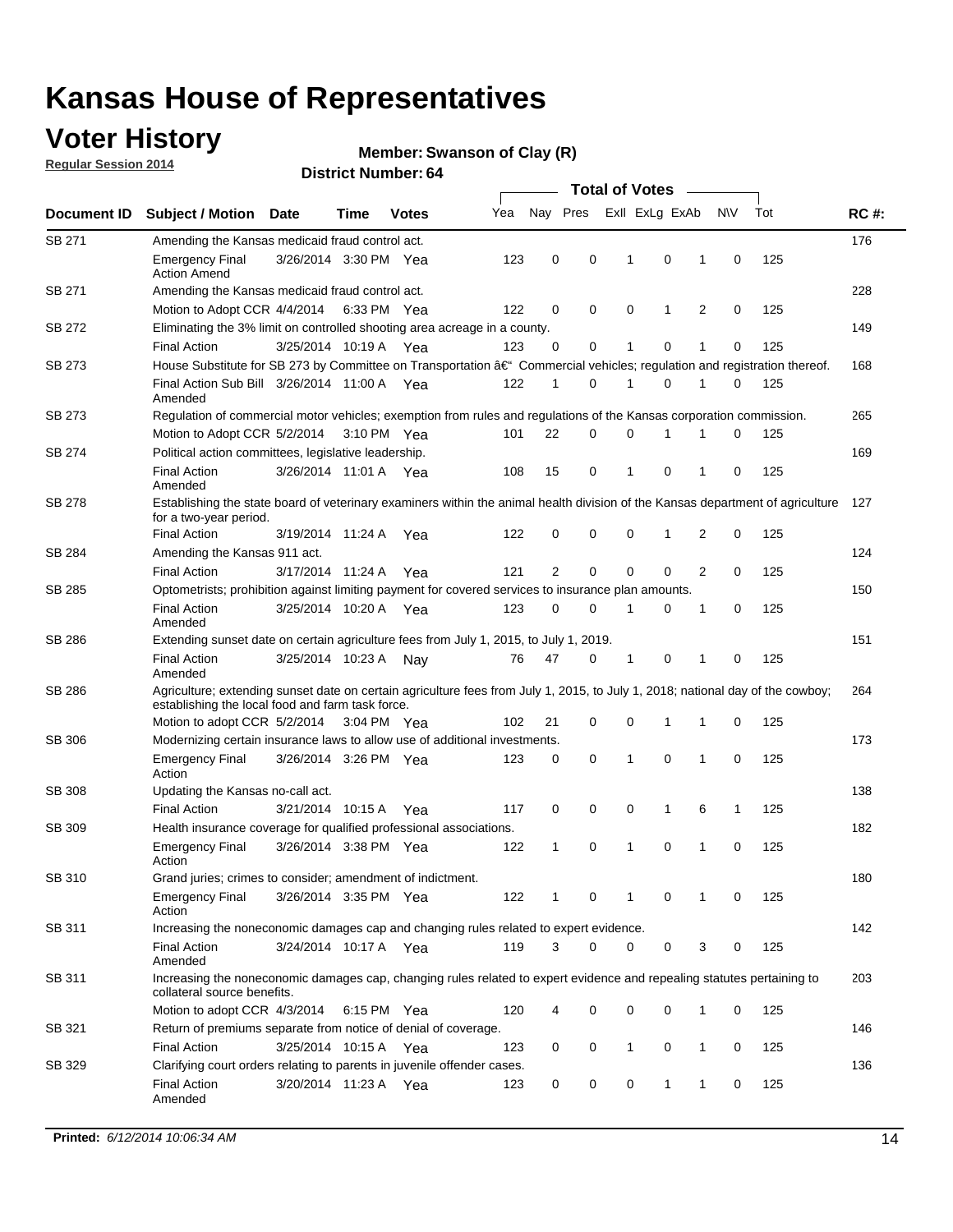## **Voter History**

**Regular Session 2014**

#### **Member: Swanson of Clay (R)**

| <b>Total of Votes</b> |                                                                                                                                                                                                                                                                                                                                        |                       |      |              |            |                |          |                |   |                               |             |            |             |
|-----------------------|----------------------------------------------------------------------------------------------------------------------------------------------------------------------------------------------------------------------------------------------------------------------------------------------------------------------------------------|-----------------------|------|--------------|------------|----------------|----------|----------------|---|-------------------------------|-------------|------------|-------------|
| Document ID           | <b>Subject / Motion Date</b>                                                                                                                                                                                                                                                                                                           |                       | Time | <b>Votes</b> | Yea        | Nay Pres       |          | Exll ExLg ExAb |   |                               | N\V         | Tot        | <b>RC#:</b> |
| SB 271                | Amending the Kansas medicaid fraud control act.                                                                                                                                                                                                                                                                                        |                       |      |              |            |                |          |                |   |                               |             |            | 176         |
|                       | <b>Emergency Final</b><br><b>Action Amend</b>                                                                                                                                                                                                                                                                                          | 3/26/2014 3:30 PM Yea |      |              | 123        | 0              | 0        | 1              |   | 0<br>1                        | $\mathbf 0$ | 125        |             |
| SB 271                | Amending the Kansas medicaid fraud control act.                                                                                                                                                                                                                                                                                        |                       |      |              |            |                |          |                |   |                               |             |            | 228         |
|                       | Motion to Adopt CCR 4/4/2014 6:33 PM Yea                                                                                                                                                                                                                                                                                               |                       |      |              | 122        | 0              | 0        | $\mathbf 0$    |   | 1<br>2                        | $\mathbf 0$ | 125        |             |
| SB 272                | Eliminating the 3% limit on controlled shooting area acreage in a county.                                                                                                                                                                                                                                                              |                       |      |              |            |                |          |                |   |                               |             |            | 149         |
|                       | <b>Final Action</b>                                                                                                                                                                                                                                                                                                                    | 3/25/2014 10:19 A Yea |      |              | 123        | 0              | 0        | 1              |   | $\mathbf 0$<br>1              | $\mathbf 0$ | 125        |             |
| SB 273                | House Substitute for SB 273 by Committee on Transportation †Commercial vehicles; regulation and registration thereof.                                                                                                                                                                                                                  |                       |      |              |            |                |          |                |   |                               |             |            | 168         |
|                       | Final Action Sub Bill 3/26/2014 11:00 A Yea<br>Amended                                                                                                                                                                                                                                                                                 |                       |      |              | 122        | 1              | 0        | 1              |   | 0<br>1                        | 0           | 125        |             |
| SB 273                | Regulation of commercial motor vehicles; exemption from rules and regulations of the Kansas corporation commission.                                                                                                                                                                                                                    |                       |      |              |            |                |          |                |   |                               |             |            | 265         |
|                       | Motion to Adopt CCR 5/2/2014 3:10 PM Yea                                                                                                                                                                                                                                                                                               |                       |      |              | 101        | 22             | 0        | $\mathbf 0$    | 1 |                               | 0           | 125        |             |
| SB 274                | Political action committees, legislative leadership.                                                                                                                                                                                                                                                                                   |                       |      |              |            |                |          |                |   |                               |             |            | 169         |
|                       | <b>Final Action</b><br>Amended                                                                                                                                                                                                                                                                                                         | 3/26/2014 11:01 A Yea |      |              | 108        | 15             | 0        | $\mathbf 1$    |   | $\mathbf 0$<br>1              | $\mathbf 0$ | 125        |             |
| <b>SB 278</b>         | Establishing the state board of veterinary examiners within the animal health division of the Kansas department of agriculture<br>for a two-year period.                                                                                                                                                                               |                       |      |              |            |                |          |                |   |                               |             |            | 127         |
|                       | <b>Final Action</b>                                                                                                                                                                                                                                                                                                                    | 3/19/2014 11:24 A     |      | Yea          | 122        | 0              | 0        | 0              | 1 | 2                             | $\mathbf 0$ | 125        |             |
| SB 284                | Amending the Kansas 911 act.                                                                                                                                                                                                                                                                                                           |                       |      |              |            |                |          |                |   |                               |             |            | 124         |
|                       | <b>Final Action</b>                                                                                                                                                                                                                                                                                                                    | 3/17/2014 11:24 A     |      | Yea          | 121        | $\overline{2}$ | 0        | $\mathbf 0$    |   | $\mathbf 0$<br>$\overline{2}$ | $\mathbf 0$ | 125        |             |
| SB 285                | Optometrists; prohibition against limiting payment for covered services to insurance plan amounts.                                                                                                                                                                                                                                     |                       |      |              |            |                |          |                |   |                               |             |            | 150         |
|                       | <b>Final Action</b><br>Amended                                                                                                                                                                                                                                                                                                         | 3/25/2014 10:20 A Yea |      |              | 123        | 0              | 0        | 1              |   | 0<br>1                        | $\mathbf 0$ | 125        |             |
| SB 286                | Extending sunset date on certain agriculture fees from July 1, 2015, to July 1, 2019.                                                                                                                                                                                                                                                  |                       |      |              |            |                |          |                |   |                               |             |            | 151         |
|                       | <b>Final Action</b><br>Amended                                                                                                                                                                                                                                                                                                         | 3/25/2014 10:23 A     |      | Nav          | 76         | 47             | 0        | 1              |   | 0<br>1                        | 0           | 125        |             |
| SB 286                | Agriculture; extending sunset date on certain agriculture fees from July 1, 2015, to July 1, 2018; national day of the cowboy;<br>establishing the local food and farm task force.                                                                                                                                                     |                       |      |              |            |                |          |                |   |                               |             |            | 264         |
|                       | Motion to adopt CCR 5/2/2014 3:04 PM Yea                                                                                                                                                                                                                                                                                               |                       |      |              | 102        | 21             | 0        | $\mathbf 0$    | 1 | 1                             | 0           | 125        |             |
| <b>SB 306</b>         | Modernizing certain insurance laws to allow use of additional investments.                                                                                                                                                                                                                                                             |                       |      |              |            |                |          |                |   |                               |             |            | 173         |
|                       | <b>Emergency Final</b><br>Action                                                                                                                                                                                                                                                                                                       | 3/26/2014 3:26 PM Yea |      |              | 123        | 0              | 0        | 1              |   | $\mathbf 0$<br>1              | $\mathbf 0$ | 125        |             |
| <b>SB 308</b>         | Updating the Kansas no-call act.                                                                                                                                                                                                                                                                                                       |                       |      |              |            |                |          |                |   |                               |             |            | 138         |
|                       | <b>Final Action</b>                                                                                                                                                                                                                                                                                                                    | 3/21/2014 10:15 A     |      | Yea          | 117        | 0              | 0        | 0              | 1 | 6                             | 1           | 125        |             |
| SB 309                | Health insurance coverage for qualified professional associations.                                                                                                                                                                                                                                                                     |                       |      |              |            |                |          |                |   |                               |             |            | 182         |
|                       | <b>Emergency Final</b><br>Action                                                                                                                                                                                                                                                                                                       | 3/26/2014 3:38 PM Yea |      |              | 122        | 1              | 0        | 1              |   | $\mathbf 0$<br>1              | $\mathbf 0$ | 125        |             |
| SB 310                | Grand juries; crimes to consider; amendment of indictment.                                                                                                                                                                                                                                                                             |                       |      |              |            |                |          |                |   |                               |             |            | 180         |
|                       | <b>Emergency Final</b><br>Action                                                                                                                                                                                                                                                                                                       | 3/26/2014 3:35 PM Yea |      |              | 122        | 1              | 0        | 1              |   | 0<br>1                        | 0           | 125        |             |
| SB 311                | Increasing the noneconomic damages cap and changing rules related to expert evidence.                                                                                                                                                                                                                                                  |                       |      |              |            |                |          |                |   |                               |             |            | 142         |
|                       | <b>Final Action</b><br>Amended                                                                                                                                                                                                                                                                                                         | 3/24/2014 10:17 A Yea |      |              | 119        | 3              | $\Omega$ | 0              |   | 0                             | 3<br>0      | 125        |             |
|                       | collateral source benefits.                                                                                                                                                                                                                                                                                                            |                       |      |              |            |                |          |                |   |                               |             |            | 203         |
|                       |                                                                                                                                                                                                                                                                                                                                        |                       |      |              |            |                |          |                |   | 1                             |             |            |             |
|                       |                                                                                                                                                                                                                                                                                                                                        |                       |      |              |            |                |          |                |   |                               |             |            | 146         |
|                       |                                                                                                                                                                                                                                                                                                                                        |                       |      |              |            |                |          |                |   |                               |             |            |             |
| SB 329                | <b>Final Action</b><br>Amended                                                                                                                                                                                                                                                                                                         | 3/20/2014 11:23 A Yea |      |              | 123        | 0              | 0        | 0              |   | 1<br>1                        | 0           | 125        | 136         |
| SB 311<br>SB 321      | Increasing the noneconomic damages cap, changing rules related to expert evidence and repealing statutes pertaining to<br>Motion to adopt CCR 4/3/2014 6:15 PM Yea<br>Return of premiums separate from notice of denial of coverage.<br><b>Final Action</b><br>Clarifying court orders relating to parents in juvenile offender cases. | 3/25/2014 10:15 A Yea |      |              | 120<br>123 | 0              | 0<br>0   | 0<br>1         |   | 0<br>0<br>$\mathbf{1}$        | 0<br>0      | 125<br>125 |             |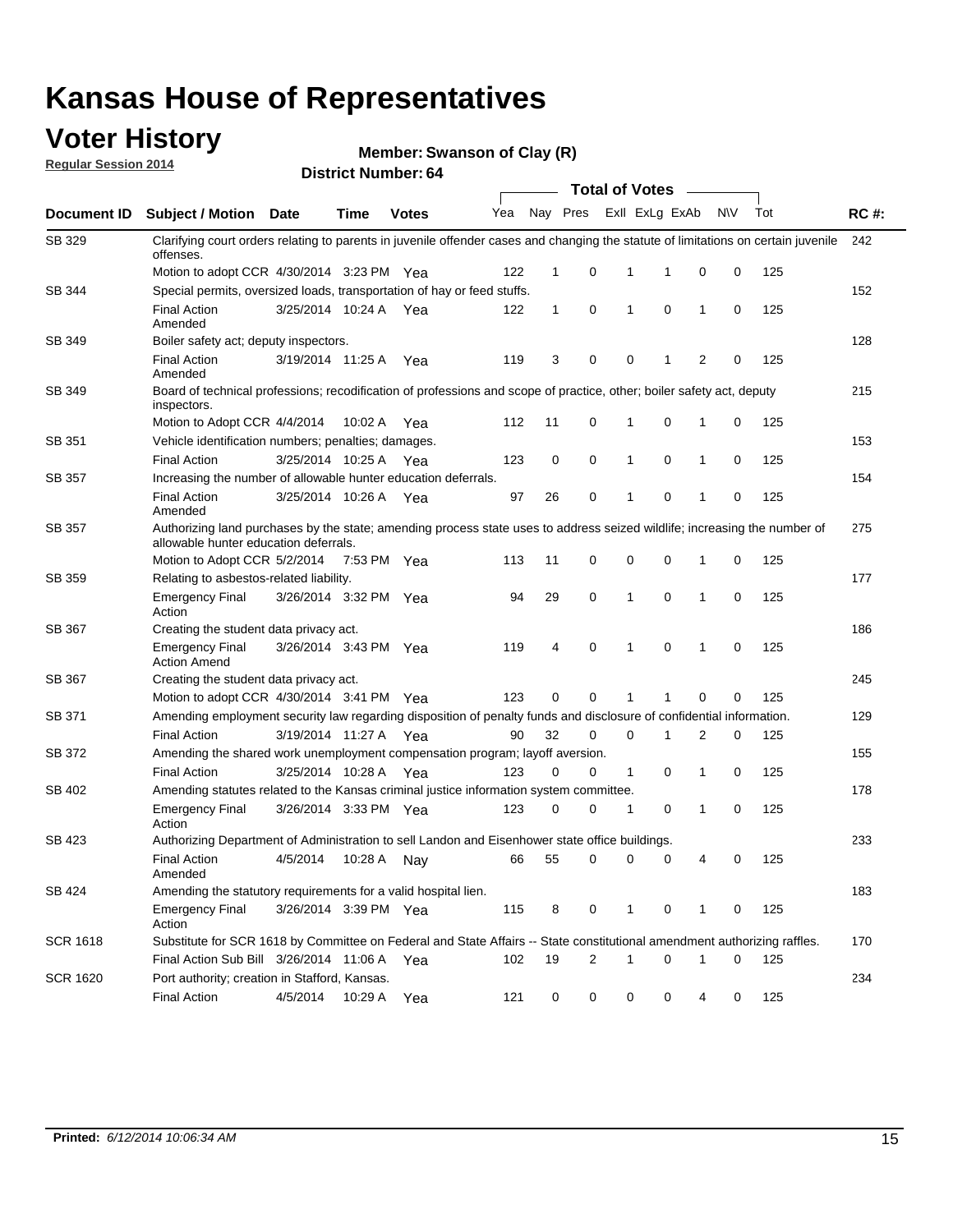#### **Voter History**

**Regular Session 2014**

**Member: Swanson of Clay (R)** 

|                    | <b>Total of Votes</b>                                                                                                                                              |                       |             |              |     |             |   |              |                |                |             |     |             |
|--------------------|--------------------------------------------------------------------------------------------------------------------------------------------------------------------|-----------------------|-------------|--------------|-----|-------------|---|--------------|----------------|----------------|-------------|-----|-------------|
| <b>Document ID</b> | <b>Subject / Motion Date</b>                                                                                                                                       |                       | Time        | <b>Votes</b> | Yea | Nay Pres    |   |              | Exll ExLg ExAb |                | N\V         | Tot | <b>RC#:</b> |
| SB 329             | Clarifying court orders relating to parents in juvenile offender cases and changing the statute of limitations on certain juvenile<br>offenses.                    |                       |             |              |     |             |   |              |                |                |             |     | 242         |
|                    | Motion to adopt CCR 4/30/2014 3:23 PM Yea                                                                                                                          |                       |             |              | 122 | $\mathbf 1$ | 0 | 1            | 1              | 0              | 0           | 125 |             |
| <b>SB 344</b>      | Special permits, oversized loads, transportation of hay or feed stuffs.                                                                                            |                       |             |              |     |             |   |              |                |                |             |     | 152         |
|                    | <b>Final Action</b><br>Amended                                                                                                                                     | 3/25/2014 10:24 A     |             | Yea          | 122 | 1           | 0 | 1            | 0              | $\mathbf 1$    | 0           | 125 |             |
| SB 349             | Boiler safety act; deputy inspectors.                                                                                                                              |                       |             |              |     |             |   |              |                |                |             |     | 128         |
|                    | <b>Final Action</b><br>Amended                                                                                                                                     | 3/19/2014 11:25 A     |             | Yea          | 119 | 3           | 0 | 0            | 1              | $\overline{2}$ | $\mathbf 0$ | 125 |             |
| SB 349             | Board of technical professions; recodification of professions and scope of practice, other; boiler safety act, deputy<br>inspectors.                               |                       |             |              |     |             |   |              |                |                |             |     | 215         |
|                    | Motion to Adopt CCR 4/4/2014                                                                                                                                       |                       | 10:02 A     | Yea          | 112 | 11          | 0 | 1            | 0              | 1              | 0           | 125 |             |
| SB 351             | Vehicle identification numbers; penalties; damages.                                                                                                                |                       |             |              |     |             |   |              |                |                |             |     | 153         |
|                    | <b>Final Action</b>                                                                                                                                                | 3/25/2014 10:25 A     |             | Yea          | 123 | 0           | 0 | 1            | 0              | $\mathbf{1}$   | 0           | 125 |             |
| SB 357             | Increasing the number of allowable hunter education deferrals.                                                                                                     |                       |             |              |     |             |   |              |                |                |             |     | 154         |
|                    | <b>Final Action</b><br>Amended                                                                                                                                     | 3/25/2014 10:26 A     |             | Yea          | 97  | 26          | 0 | 1            | 0              | $\mathbf{1}$   | 0           | 125 |             |
| SB 357             | Authorizing land purchases by the state; amending process state uses to address seized wildlife; increasing the number of<br>allowable hunter education deferrals. |                       |             |              |     |             |   |              |                |                |             |     | 275         |
|                    | Motion to Adopt CCR 5/2/2014                                                                                                                                       |                       | 7:53 PM Yea |              | 113 | 11          | 0 | 0            | 0              | -1             | 0           | 125 |             |
| SB 359             | Relating to asbestos-related liability.                                                                                                                            |                       |             |              |     |             |   |              |                |                |             |     | 177         |
|                    | <b>Emergency Final</b><br>Action                                                                                                                                   | 3/26/2014 3:32 PM Yea |             |              | 94  | 29          | 0 | 1            | $\mathbf 0$    | $\mathbf 1$    | $\mathbf 0$ | 125 |             |
| <b>SB 367</b>      | Creating the student data privacy act.                                                                                                                             |                       |             |              |     |             |   |              |                |                |             |     | 186         |
|                    | <b>Emergency Final</b><br><b>Action Amend</b>                                                                                                                      | 3/26/2014 3:43 PM Yea |             |              | 119 | 4           | 0 | 1            | 0              | -1             | 0           | 125 |             |
| SB 367             | Creating the student data privacy act.                                                                                                                             |                       |             |              |     |             |   |              |                |                |             |     | 245         |
|                    | Motion to adopt CCR 4/30/2014 3:41 PM Yea                                                                                                                          |                       |             |              | 123 | 0           | 0 | 1            | 1              | 0              | 0           | 125 |             |
| SB 371             | Amending employment security law regarding disposition of penalty funds and disclosure of confidential information.                                                |                       |             |              |     |             |   |              |                |                |             |     | 129         |
|                    | <b>Final Action</b>                                                                                                                                                | 3/19/2014 11:27 A Yea |             |              | 90  | 32          | 0 | 0            | 1              | 2              | 0           | 125 |             |
| <b>SB 372</b>      | Amending the shared work unemployment compensation program; layoff aversion.                                                                                       |                       |             |              |     |             |   |              |                |                |             |     | 155         |
|                    | <b>Final Action</b>                                                                                                                                                | 3/25/2014 10:28 A     |             | Yea          | 123 | 0           | 0 | $\mathbf{1}$ | 0              | $\mathbf{1}$   | 0           | 125 |             |
| SB 402             | Amending statutes related to the Kansas criminal justice information system committee.                                                                             |                       |             |              |     |             |   |              |                |                |             |     | 178         |
|                    | <b>Emergency Final</b><br>Action                                                                                                                                   | 3/26/2014 3:33 PM     |             | Yea          | 123 | 0           | 0 | 1            | 0              | $\mathbf{1}$   | 0           | 125 |             |
| SB 423             | Authorizing Department of Administration to sell Landon and Eisenhower state office buildings.                                                                     |                       |             |              |     |             |   |              |                |                |             |     | 233         |
|                    | <b>Final Action</b><br>Amended                                                                                                                                     | 4/5/2014              | 10:28 A     | Nay          | 66  | 55          | 0 | 0            | 0              | 4              | 0           | 125 |             |
| SB 424             | Amending the statutory requirements for a valid hospital lien.                                                                                                     |                       |             |              |     |             |   |              |                |                |             |     | 183         |
|                    | <b>Emergency Final</b><br>Action                                                                                                                                   | 3/26/2014 3:39 PM Yea |             |              | 115 | 8           | 0 | 1            | 0              | -1             | 0           | 125 |             |
| SCR 1618           | Substitute for SCR 1618 by Committee on Federal and State Affairs -- State constitutional amendment authorizing raffles.                                           |                       |             |              |     |             |   |              |                |                |             |     | 170         |
|                    | Final Action Sub Bill 3/26/2014 11:06 A                                                                                                                            |                       |             | Yea          | 102 | 19          | 2 | 1            | 0              | -1             | 0           | 125 |             |
| SCR 1620           | Port authority; creation in Stafford, Kansas.                                                                                                                      |                       |             |              |     |             |   |              |                |                |             |     | 234         |
|                    | <b>Final Action</b>                                                                                                                                                | 4/5/2014              | 10:29 A     | Yea          | 121 | 0           | 0 | 0            | 0              | 4              | 0           | 125 |             |